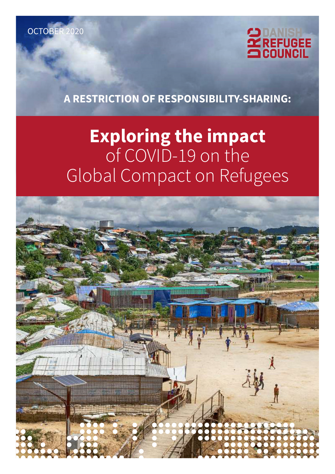



**A RESTRICTION OF RESPONSIBILITY-SHARING:** 

# **Exploring the impact**  of COVID-19 on the Global Compact on Refugees

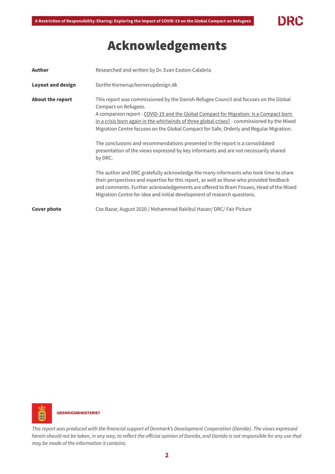# DRC

# Acknowledgements

| <b>Author</b>            | Researched and written by Dr. Evan Easton-Calabria                                                                                                                                                                                                                                                                                                                                                                                                                                                                                                                                                                                                                                                                                                                                                                                                               |  |
|--------------------------|------------------------------------------------------------------------------------------------------------------------------------------------------------------------------------------------------------------------------------------------------------------------------------------------------------------------------------------------------------------------------------------------------------------------------------------------------------------------------------------------------------------------------------------------------------------------------------------------------------------------------------------------------------------------------------------------------------------------------------------------------------------------------------------------------------------------------------------------------------------|--|
| <b>Layout and design</b> | Dorthe Kornerup/kornerupdesign.dk                                                                                                                                                                                                                                                                                                                                                                                                                                                                                                                                                                                                                                                                                                                                                                                                                                |  |
| <b>About the report</b>  | This report was commissioned by the Danish Refugee Council and focuses on the Global<br>Compact on Refugees.<br>A companion report - COVID-19 and the Global Compact for Migration: Is a Compact born<br>in a crisis born again in the whirlwinds of three global crises? - commissioned by the Mixed<br>Migration Centre focuses on the Global Compact for Safe, Orderly and Regular Migration.<br>The conclusions and recommendations presented in the report is a consolidated<br>presentation of the views expressed by key informants and are not necessarily shared<br>by DRC.<br>The author and DRC gratefully acknowledge the many informants who took time to share<br>their perspectives and expertise for this report, as well as those who provided feedback<br>and comments. Further acknowledgements are offered to Bram Frouws, Head of the Mixed |  |
|                          | Migration Centre for idea and initial development of research questions.                                                                                                                                                                                                                                                                                                                                                                                                                                                                                                                                                                                                                                                                                                                                                                                         |  |
| Cover photo              | Cox Bazar, August 2020 / Mohammad Rakibul Hasan/ DRC/ Fair Picture                                                                                                                                                                                                                                                                                                                                                                                                                                                                                                                                                                                                                                                                                                                                                                                               |  |



This report was produced with the financial support of Denmark's Development Cooperation (Danida). The views expressed herein should not be taken, in any way, to reflect the official opinion of Danida, and Danida is not responsible for any use that may be made of the information it contains.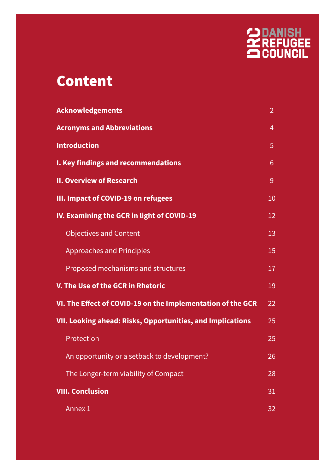

# Content

| <b>Acknowledgements</b>                                           | $\overline{2}$ |  |
|-------------------------------------------------------------------|----------------|--|
| <b>Acronyms and Abbreviations</b>                                 | 4              |  |
| <b>Introduction</b>                                               | 5              |  |
| I. Key findings and recommendations                               | $6\phantom{1}$ |  |
| <b>II. Overview of Research</b>                                   | 9              |  |
| III. Impact of COVID-19 on refugees                               | 10             |  |
| IV. Examining the GCR in light of COVID-19                        | 12             |  |
| <b>Objectives and Content</b>                                     | 13             |  |
| <b>Approaches and Principles</b>                                  | 15             |  |
| Proposed mechanisms and structures                                | 17             |  |
| V. The Use of the GCR in Rhetoric                                 | 19             |  |
| VI. The Effect of COVID-19 on the Implementation of the GCR       |                |  |
| <b>VII. Looking ahead: Risks, Opportunities, and Implications</b> |                |  |
| Protection                                                        | 25             |  |
| An opportunity or a setback to development?                       | 26             |  |
| The Longer-term viability of Compact                              | 28             |  |
| <b>VIII. Conclusion</b>                                           |                |  |
| Annex 1                                                           | 32             |  |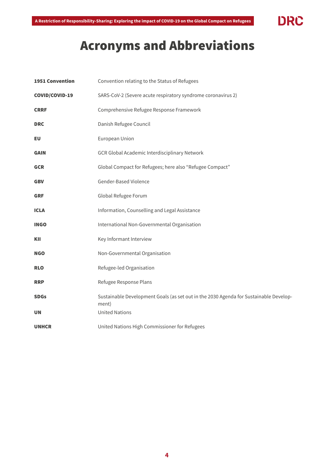

# Acronyms and Abbreviations

| <b>1951 Convention</b> | Convention relating to the Status of Refugees                                                  |
|------------------------|------------------------------------------------------------------------------------------------|
| COVID/COVID-19         | SARS-CoV-2 (Severe acute respiratory syndrome coronavirus 2)                                   |
| <b>CRRF</b>            | Comprehensive Refugee Response Framework                                                       |
| <b>DRC</b>             | Danish Refugee Council                                                                         |
| EU                     | European Union                                                                                 |
| <b>GAIN</b>            | GCR Global Academic Interdisciplinary Network                                                  |
| <b>GCR</b>             | Global Compact for Refugees; here also "Refugee Compact"                                       |
| <b>GBV</b>             | Gender-Based Violence                                                                          |
| <b>GRF</b>             | Global Refugee Forum                                                                           |
| <b>ICLA</b>            | Information, Counselling and Legal Assistance                                                  |
| <b>INGO</b>            | International Non-Governmental Organisation                                                    |
| KII                    | Key Informant Interview                                                                        |
| <b>NGO</b>             | Non-Governmental Organisation                                                                  |
| <b>RLO</b>             | Refugee-led Organisation                                                                       |
| <b>RRP</b>             | Refugee Response Plans                                                                         |
| <b>SDGs</b>            | Sustainable Development Goals (as set out in the 2030 Agenda for Sustainable Develop-<br>ment) |
| <b>UN</b>              | <b>United Nations</b>                                                                          |
| <b>UNHCR</b>           | United Nations High Commissioner for Refugees                                                  |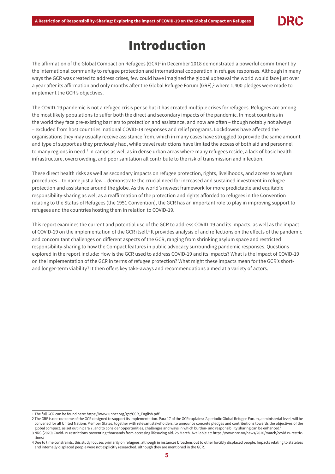# Introduction

The affirmation of the Global Compact on Refugees (GCR)<sup>1</sup> in December 2018 demonstrated a powerful commitment by the international community to refugee protection and international cooperation in refugee responses. Although in many ways the GCR was created to address crises, few could have imagined the global upheaval the world would face just over a year after its affirmation and only months after the Global Refugee Forum (GRF), $^2$  where 1,400 pledges were made to implement the GCR's objectives.

The COVID-19 pandemic is not a refugee crisis per se but it has created multiple crises for refugees. Refugees are among the most likely populations to suffer both the direct and secondary impacts of the pandemic. In most countries in the world they face pre-existing barriers to protection and assistance, and now are often – though notably not always – excluded from host countries' national COVID-19 responses and relief programs. Lockdowns have affected the organisations they may usually receive assistance from, which in many cases have struggled to provide the same amount and type of support as they previously had, while travel restrictions have limited the access of both aid and personnel to many regions in need.<sup>3</sup> In camps as well as in dense urban areas where many refugees reside, a lack of basic health infrastructure, overcrowding, and poor sanitation all contribute to the risk of transmission and infection.

These direct health risks as well as secondary impacts on refugee protection, rights, livelihoods, and access to asylum procedures – to name just a few – demonstrate the crucial need for increased and sustained investment in refugee protection and assistance around the globe. As the world's newest framework for more predictable and equitable responsibility-sharing as well as a reaffirmation of the protection and rights afforded to refugees in the Convention relating to the Status of Refugees (the 1951 Convention), the GCR has an important role to play in improving support to refugees and the countries hosting them in relation to COVID-19.

This report examines the current and potential use of the GCR to address COVID-19 and its impacts, as well as the impact of COVID-19 on the implementation of the GCR itself.<sup>4</sup> It provides analysis of and reflections on the effects of the pandemic and concomitant challenges on different aspects of the GCR, ranging from shrinking asylum space and restricted responsibility-sharing to how the Compact features in public advocacy surrounding pandemic responses. Questions explored in the report include: How is the GCR used to address COVID-19 and its impacts? What is the impact of COVID-19 on the implementation of the GCR in terms of refugee protection? What might these impacts mean for the GCR's shortand longer-term viability? It then offers key take-aways and recommendations aimed at a variety of actors.

<sup>1</sup> The full GCR can be found here: [https://www.unhcr.org/gcr/GCR\\_English.pdf](https://www.unhcr.org/gcr/GCR_English.pdf)

<sup>2</sup> The GRF is one outcome of the GCR designed to support its implementation. Para 17 of the GCR explains: 'A periodic Global Refugee Forum, at ministerial level, will be convened for all United Nations Member States, together with relevant stakeholders, to announce concrete pledges and contributions towards the objectives of the global compact, as set out in para 7, and to consider opportunities, challenges and ways in which burden- and responsibility sharing can be enhanced.'

<sup>3</sup> NRC (2020) Covid-19 restrictions preventing thousands from accessing lifesaving aid. 25 March. Available at: [https://www.nrc.no/news/2020/march/covid19-restric](https://www.nrc.no/news/2020/march/covid19-restrictions/)[tions/](https://www.nrc.no/news/2020/march/covid19-restrictions/)

<sup>4</sup> Due to time constraints, this study focuses primarily on refugees, although in instances broadens out to other forcibly displaced people. Impacts relating to stateless and internally displaced people were not explicitly researched, although they are mentioned in the GCR.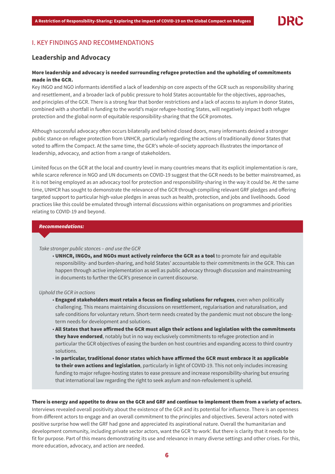

# I. KEY FINDINGS AND RECOMMENDATIONS

# **Leadership and Advocacy**

# More leadership and advocacy is needed surrounding refugee protection and the upholding of commitments made in the GCR.

Key INGO and NGO informants identified a lack of leadership on core aspects of the GCR such as responsibility sharing and resettlement, and a broader lack of public pressure to hold States accountable for the objectives, approaches, and principles of the GCR. There is a strong fear that border restrictions and a lack of access to asylum in donor States, combined with a shortfall in funding to the world's major refugee-hosting States, will negatively impact both refugee protection and the global norm of equitable responsibility-sharing that the GCR promotes.

Although successful advocacy often occurs bilaterally and behind closed doors, many informants desired a stronger public stance on refugee protection from UNHCR, particularly regarding the actions of traditionally donor States that voted to affirm the Compact. At the same time, the GCR's whole-of-society approach illustrates the importance of leadership, advocacy, and action from a range of stakeholders.

Limited focus on the GCR at the local and country level in many countries means that its explicit implementation is rare, while scarce reference in NGO and UN documents on COVID-19 suggest that the GCR needs to be better mainstreamed, as it is not being employed as an advocacy tool for protection and responsibility-sharing in the way it could be. At the same time, UNHCR has sought to demonstrate the relevance of the GCR through compiling relevant GRF pledges and offering targeted support to particular high-value pledges in areas such as health, protection, and jobs and livelihoods. Good practices like this could be emulated through internal discussions within organisations on programmes and priorities relating to COVID-19 and beyond.

# *Recommendations:*

#### Take stronger public stances – and use the GCR

• UNHCR, INGOs, and NGOs must actively reinforce the GCR as a tool to promote fair and equitable responsibility- and burden-sharing, and hold States' accountable to their commitments in the GCR. This can happen through active implementation as well as public advocacy through discussion and mainstreaming in documents to further the GCR's presence in current discourse.

## Uphold the GCR in actions

- Engaged stakeholders must retain a focus on finding solutions for refugees, even when politically challenging. This means maintaining discussions on resettlement, regularisation and naturalisation, and safe conditions for voluntary return. Short-term needs created by the pandemic must not obscure the longterm needs for development and solutions.
- All States that have affirmed the GCR must align their actions and legislation with the commitments they have endorsed, notably but in no way exclusively commitments to refugee protection and in particular the GCR objectives of easing the burden on host countries and expanding access to third country solutions.
- In particular, traditional donor states which have affirmed the GCR must embrace it as applicable to their own actions and legislation, particularly in light of COVID-19. This not only includes increasing funding to major refugee-hosting states to ease pressure and increase responsibility-sharing but ensuring that international law regarding the right to seek asylum and non-refoulement is upheld.

#### There is energy and appetite to draw on the GCR and GRF and continue to implement them from a variety of actors.

Interviews revealed overall positivity about the existence of the GCR and its potential for influence. There is an openness from different actors to engage and an overall commitment to the principles and objectives. Several actors noted with positive surprise how well the GRF had gone and appreciated its aspirational nature. Overall the humanitarian and development community, including private sector actors, want the GCR 'to work'. But there is clarity that it needs to be fit for purpose. Part of this means demonstrating its use and relevance in many diverse settings and other crises. For this, more education, advocacy, and action are needed.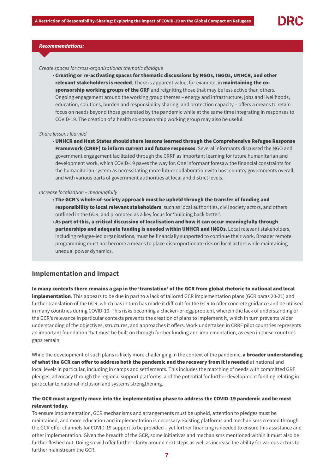

# *Recommendations:*

# Create spaces for cross-organisational thematic dialogue

• Creating or re-activating spaces for thematic discussions by NGOs, INGOs, UNHCR, and other relevant stakeholders is needed. There is apparent value, for example, in maintaining the cosponsorship working groups of the GRF and reigniting those that may be less active than others. Ongoing engagement around the working group themes – energy and infrastructure, jobs and livelihoods, education, solutions, burden and responsibility sharing, and protection capacity – offers a means to retain focus on needs beyond those generated by the pandemic while at the same time integrating in responses to COVID-19. The creation of a health co-sponsorship working group may also be useful.

#### Share lessons learned

• UNHCR and Host States should share lessons learned through the Comprehensive Refugee Response Framework (CRRF) to inform current and future responses. Several informants discussed the NGO and government engagement facilitated through the CRRF as important learning for future humanitarian and development work, which COVID-19 paves the way for. One informant foresaw the financial constraints for the humanitarian system as necessitating more future collaboration with host country governments overall, and with various parts of government authorities at local and district levels.

#### Increase localisation – meaningfully

- The GCR's whole-of-society approach must be upheld through the transfer of funding and responsibility to local relevant stakeholders, such as local authorities, civil society actors, and others outlined in the GCR, and promoted as a key focus for 'building back better'.
- As part of this, a critical discussion of localisation and how it can occur meaningfully through partnerships and adequate funding is needed within UNHCR and INGOs. Local relevant stakeholders, including refugee-led organisations, must be financially supported to continue their work. Broader remote programming must not become a means to place disproportionate risk on local actors while maintaining unequal power dynamics.

# **Implementation and Impact**

In many contexts there remains a gap in the 'translation' of the GCR from global rhetoric to national and local implementation. This appears to be due in part to a lack of tailored GCR implementation plans (GCR paras 20-21) and further translation of the GCR, which has in turn has made it difficult for the GCR to offer concrete guidance and be utilised in many countries during COVID-19. This risks becoming a chicken-or-egg problem, wherein the lack of understanding of the GCR's relevance in particular contexts prevents the creation of plans to implement it, which in turn prevents wider understanding of the objectives, structures, and approaches it offers. Work undertaken in CRRF pilot countries represents an important foundation that must be built on through further funding and implementation, as even in these countries gaps remain.

While the development of such plans is likely more challenging in the context of the pandemic, a broader understanding of what the GCR can offer to address both the pandemic and the recovery from it is needed at national and local levels in particular, including in camps and settlements. This includes the matching of needs with committed GRF pledges, advocacy through the regional support platforms, and the potential for further development funding relating in particular to national inclusion and systems strengthening.

# The GCR must urgently move into the implementation phase to address the COVID-19 pandemic and be most relevant today.

To ensure implementation, GCR mechanisms and arrangements must be upheld, attention to pledges must be maintained, and more education and implementation is necessary. Existing platforms and mechanisms created through the GCR offer channels for COVID-19 support to be provided – yet further financing is needed to ensure this assistance and other implementation. Given the breadth of the GCR, some initiatives and mechanisms mentioned within it must also be further fleshed out. Doing so will offer further clarity around next steps as well as increase the ability for various actors to further mainstream the GCR.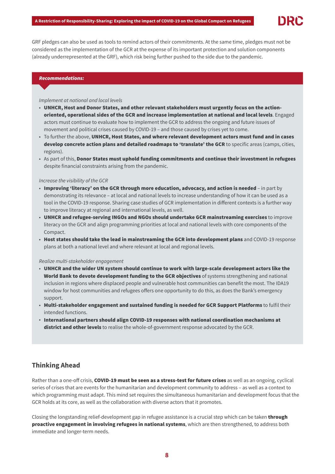

GRF pledges can also be used as tools to remind actors of their commitments. At the same time, pledges must not be considered as the implementation of the GCR at the expense of its important protection and solution components (already underrepresented at the GRF), which risk being further pushed to the side due to the pandemic.

# *Recommendations:*

#### Implement at national and local levels

- UNHCR, Host and Donor States, and other relevant stakeholders must urgently focus on the actionoriented, operational sides of the GCR and increase implementation at national and local levels. Engaged actors must continue to evaluate how to implement the GCR to address the ongoing and future issues of movement and political crises caused by COVID-19 – and those caused by crises yet to come.
- To further the above, UNHCR, Host States, and where relevant development actors must fund and in cases develop concrete action plans and detailed roadmaps to 'translate' the GCR to specific areas (camps, cities, regions).
- As part of this, Donor States must uphold funding commitments and continue their investment in refugees despite financial constraints arising from the pandemic.

# Increase the visibility of the GCR

- Improving 'literacy' on the GCR through more education, advocacy, and action is needed in part by demonstrating its relevance – at local and national levels to increase understanding of how it can be used as a tool in the COVID-19 response. Sharing case studies of GCR implementation in different contexts is a further way to improve literacy at regional and international levels, as well.
- UNHCR and refugee-serving INGOs and NGOs should undertake GCR mainstreaming exercises to improve literacy on the GCR and align programming priorities at local and national levels with core components of the Compact.
- Host states should take the lead in mainstreaming the GCR into development plans and COVID-19 response plans at both a national level and where relevant at local and regional levels.

# Realize multi-stakeholder engagement

- UNHCR and the wider UN system should continue to work with large-scale development actors like the World Bank to devote development funding to the GCR objectives of systems strengthening and national inclusion in regions where displaced people and vulnerable host communities can benefit the most. The IDA19 window for host communities and refugees offers one opportunity to do this, as does the Bank's emergency support.
- Multi-stakeholder engagement and sustained funding is needed for GCR Support Platforms to fulfil their intended functions.
- International partners should align COVID-19 responses with national coordination mechanisms at district and other levels to realise the whole-of-government response advocated by the GCR.

# **Thinking Ahead**

Rather than a one-off crisis, COVID-19 must be seen as a stress-test for future crises as well as an ongoing, cyclical series of crises that are events for the humanitarian and development community to address – as well as a context to which programming must adapt. This mind set requires the simultaneous humanitarian and development focus that the GCR holds at its core, as well as the collaboration with diverse actors that it promotes.

Closing the longstanding relief-development gap in refugee assistance is a crucial step which can be taken through proactive engagement in involving refugees in national systems, which are then strengthened, to address both immediate and longer-term needs.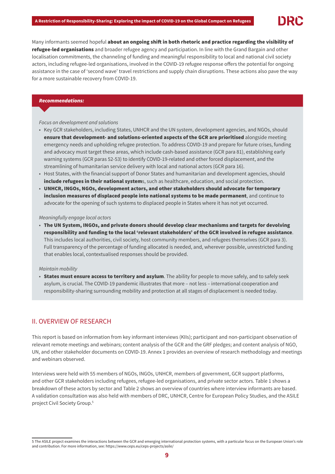

Many informants seemed hopeful about an ongoing shift in both rhetoric and practice regarding the visibility of refugee-led organisations and broader refugee agency and participation. In line with the Grand Bargain and other localisation commitments, the channeling of funding and meaningful responsibility to local and national civil society actors, including refugee-led organisations, involved in the COVID-19 refugee response offers the potential for ongoing assistance in the case of 'second wave' travel restrictions and supply chain disruptions. These actions also pave the way for a more sustainable recovery from COVID-19.

#### *Recommendations:*

Focus on development and solutions

- Key GCR stakeholders, including States, UNHCR and the UN system, development agencies, and NGOs, should ensure that development- and solutions-oriented aspects of the GCR are prioritised alongside meeting emergency needs and upholding refugee protection. To address COVID-19 and prepare for future crises, funding and advocacy must target these areas, which include cash-based assistance (GCR para 81), establishing early warning systems (GCR paras 52-53) to identify COVID-19-related and other forced displacement, and the streamlining of humanitarian service delivery with local and national actors (GCR para 16).
- Host States, with the financial support of Donor States and humanitarian and development agencies, should include refugees in their national systems, such as healthcare, education, and social protection.
- UNHCR, INGOs, NGOs, development actors, and other stakeholders should advocate for temporary inclusion measures of displaced people into national systems to be made permanent, and continue to advocate for the opening of such systems to displaced people in States where it has not yet occurred.

Meaningfully engage local actors

• The UN System, INGOs, and private donors should develop clear mechanisms and targets for devolving responsibility and funding to the local 'relevant stakeholders' of the GCR involved in refugee assistance. This includes local authorities, civil society, host community members, and refugees themselves (GCR para 3). Full transparency of the percentage of funding allocated is needed, and, wherever possible, unrestricted funding that enables local, contextualised responses should be provided.

#### Maintain mobility

• States must ensure access to territory and asylum. The ability for people to move safely, and to safely seek asylum, is crucial. The COVID-19 pandemic illustrates that more – not less – international cooperation and responsibility-sharing surrounding mobility and protection at all stages of displacement is needed today.

# II. OVERVIEW OF RESEARCH

This report is based on information from key informant interviews (KIIs); participant and non-participant observation of relevant remote meetings and webinars; content analysis of the GCR and the GRF pledges; and content analysis of NGO, UN, and other stakeholder documents on COVID-19. Annex 1 provides an overview of research methodology and meetings and webinars observed.

Interviews were held with 55 members of NGOs, INGOs, UNHCR, members of government, GCR support platforms, and other GCR stakeholders including refugees, refugee-led organisations, and private sector actors. Table 1 shows a breakdown of these actors by sector and Table 2 shows an overview of countries where interview informants are based. A validation consultation was also held with members of DRC, UNHCR, Centre for European Policy Studies, and the ASILE project Civil Society Group.5

<sup>5</sup> The ASILE project examines the interactions between the GCR and emerging international protection systems, with a particular focus on the European Union's role and contribution. For more information, see: https://www.ceps.eu/ceps-projects/asile/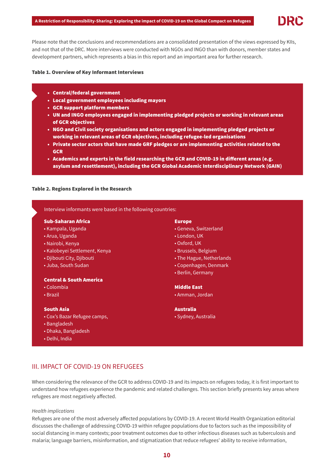

#### Table 1. Overview of Key Informant Interviews

- Central/federal government
- Local government employees including mayors
- GCR support platform members
- UN and INGO employees engaged in implementing pledged projects or working in relevant areas of GCR objectives
- NGO and Civil society organisations and actors engaged in implementing pledged projects or working in relevant areas of GCR objectives, including refugee-led organisations
- Private sector actors that have made GRF pledges or are implementing activities related to the GCR
- Academics and experts in the field researching the GCR and COVID-19 in different areas (e.g. asylum and resettlement), including the GCR Global Academic Interdisciplinary Network (GAIN)

# Table 2. Regions Explored in the Research

# Interview informants were based in the following countries:

## Sub-Saharan Africa

- Kampala, Uganda
- Arua, Uganda
- Nairobi, Kenya
- Kalobeyei Settlement, Kenya
- Djibouti City, Djibouti
- Juba, South Sudan

# Central & South America

- Colombia
- Brazil

#### South Asia

- Cox's Bazar Refugee camps,
- Bangladesh
- Dhaka, Bangladesh
- Delhi, India

## Europe

- Geneva, Switzerland
- London, UK
- Oxford, UK
- Brussels, Belgium
- The Hague, Netherlands
- Copenhagen, Denmark
- Berlin, Germany

#### Middle East

• Amman, Jordan

Australia • Sydney, Australia

# III. IMPACT OF COVID-19 ON REFUGEES

When considering the relevance of the GCR to address COVID-19 and its impacts on refugees today, it is first important to understand how refugees experience the pandemic and related challenges. This section briefly presents key areas where refugees are most negatively affected.

# Health implications

Refugees are one of the most adversely affected populations by COVID-19. A recent World Health Organization editorial discusses the challenge of addressing COVID-19 within refugee populations due to factors such as the impossibility of social distancing in many contexts; poor treatment outcomes due to other infectious diseases such as tuberculosis and malaria; language barriers, misinformation, and stigmatization that reduce refugees' ability to receive information,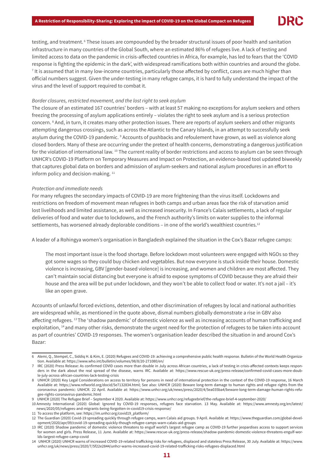

testing, and treatment. 6 These issues are compounded by the broader structural issues of poor health and sanitation infrastructure in many countries of the Global South, where an estimated 86% of refugees live. A lack of testing and limited access to data on the pandemic in crisis-affected countries in Africa, for example, has led to fears that the 'COVID response is fighting the epidemic in the dark', with widespread ramifications both within countries and around the globe.  $^7$  It is assumed that in many low-income countries, particularly those affected by conflict, cases are much higher than official numbers suggest. Given the under-testing in many refugee camps, it is hard to fully understand the impact of the virus and the level of support required to combat it.

#### Border closures, restricted movement, and the lost right to seek asylum

The closure of an estimated 167 countries' borders – with at least 57 making no exceptions for asylum seekers and others freezing the processing of asylum applications entirely – violates the right to seek asylum and is a serious protection concern. <sup>8</sup> And, in turn, it creates many other protection issues. There are reports of asylum seekers and other migrants attempting dangerous crossings, such as across the Atlantic to the Canary Islands, in an attempt to successfully seek asylum during the COVID-19 pandemic. <sup>9</sup> Accounts of pushbacks and refoulement have grown, as well as violence along closed borders. Many of these are occurring under the pretext of health concerns, demonstrating a dangerous justification for the violation of international law. <sup>10</sup> The current reality of border restrictions and access to asylum can be seen through UNHCR's COVID-19 Platform on Temporary Measures and Impact on Protection, an evidence-based tool updated biweekly that captures global data on borders and admission of asylum-seekers and national asylum procedures in an effort to inform policy and decision-making.<sup>11</sup>

#### Protection and immediate needs

For many refugees the secondary impacts of COVID-19 are more frightening than the virus itself. Lockdowns and restrictions on freedom of movement mean refugees in both camps and urban areas face the risk of starvation amid lost livelihoods and limited assistance, as well as increased insecurity. In France's Calais settlements, a lack of regular deliveries of food and water due to lockdowns, and the French authority's limits on water supplies to the informal settlements, has worsened already deplorable conditions – in one of the world's wealthiest countries.<sup>12</sup>

A leader of a Rohingya women's organisation in Bangladesh explained the situation in the Cox's Bazar refugee camps:

 The most important issue is the food shortage. Before lockdown most volunteers were engaged with NGOs so they got some wages so they could buy chicken and vegetables. But now everyone is stuck inside their house. Domestic violence is increasing, GBV [gender-based violence] is increasing, and women and children are most affected. They can't maintain social distancing but everyone is afraid to expose symptoms of COVID because they are afraid their house and the area will be put under lockdown, and they won't be able to collect food or water. It's not a jail – it's like an open grave.

Accounts of unlawful forced evictions, detention, and other discrimination of refugees by local and national authorities are widespread while, as mentioned in the quote above, dismal numbers globally demonstrate a rise in GBV also affecting refugees. <sup>13</sup>The 'shadow pandemic' of domestic violence as well as increasing accounts of human trafficking and exploitation, <sup>14</sup> and many other risks, demonstrate the urgent need for the protection of refugees to be taken into account as part of countries' COVID-19 responses. The women's organisation leader described the situation in and around Cox's Bazar:

<sup>6</sup> Alemi, Q., Stempel, C., Siddiq H. & Kim, E. (2020) Refugees and COVID-19: achieving a comprehensive public health response. Bulletin of the World Health Organization. Available at: https://www.who.int/bulletin/volumes/98/8/20-271080/en/

<sup>7</sup> IRC (2020) Press Release: As confirmed COVID cases more than double in July across African countries, a lack of testing in crisis-affected contexts keeps responders in the dark about the real spread of the disease, warns IRC. Available at: https://www.rescue-uk.org/press-release/confirmed-covid-cases-more-double-july-across-african-countries-lack-testing-crisis

<sup>8</sup> UNHCR (2020) Key Legal Considerations on access to territory for persons in need of international protection in the context of the COVID-19 response, 16 March Available at: https://www.refworld.org/docid/5e7132834.html; See also: UNHCR (2020) Beware long-term damage to human rights and refugee rights from the coronavirus pandemic: UNHCR. 22 April. Available at: https://www.unhcr.org/uk/news/press/2020/4/5ea035ba4/beware-long-term-damage-human-rights-refugee-rights-coronavirus-pandemic.html

<sup>9</sup> UNHCR (2020) The Refugee Brief – September 4 2020. Available at: https://www.unhcr.org/refugeebrief/the-refugee-brief-4-september-2020/

<sup>10</sup> Amnesty International (2020) Global: Ignored by COVID-19 responses, refugees face starvation. 13 May. Available at: https://www.amnesty.org/en/latest/ news/2020/05/refugees-and-migrants-being-forgotten-in-covid19-crisis-response/

<sup>11</sup> To access the platform, see: https://im.unhcr.org/covid19\_platform/

<sup>12</sup> The Guardian (2020) Covid-19 spreading quickly through refugee camps, warn Calais aid groups. 9 April. Available at: https://www.theguardian.com/global-development/2020/apr/09/covid-19-spreading-quickly-though-refugee-camps-warn-calais-aid-groups

<sup>13</sup> IRC (2020) Shadow pandemic of domestic violence threatens to engulf world's largest refugee camp as COVID-19 further jeopardises access to support services for women and girls. Press Release, 11 June. Available at: https://www.rescue-uk.org/press-release/shadow-pandemic-domestic-violence-threatens-engulf-worlds-largest-refugee-camp-covid

<sup>14</sup> UNHCR (2020) UNHCR warns of increased COVID-19-related trafficking risks for refugees, displaced and stateless Press Release, 30 July. Available at: https://www. unhcr.org/uk/news/press/2020/7/5f22e2844/unhcr-warns-increased-covid-19-related-trafficking-risks-refugees-displaced.html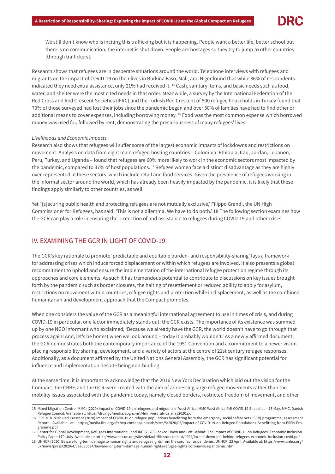We still don't know who is inciting this trafficking but it is happening. People want a better life, better school but there is no communication, the internet is shut down. People are hostages so they try to jump to other countries [through traffickers].

Research shows that refugees are in desperate situations around the world. Telephone interviews with refugees and migrants on the impact of COVID-19 on their lives in Burkina Faso, Mali, and Niger found that while 86% of respondents indicated they need extra assistance, only 21% had received it. 15 Cash, sanitary items, and basic needs such as food, water, and shelter were the most cited needs in that order. Meanwhile, a survey by the International Federation of the Red Cross and Red Crescent Societies (IFRC) and the Turkish Red Crescent of 500 refugee households in Turkey found that 70% of those surveyed had lost their jobs since the pandemic began and over 50% of families have had to find other or additional means to cover expenses, including borrowing money. 16 Food was the most common expense which borrowed money was used for, followed by rent, demonstrating the precariousness of many refugees' lives.

# Livelihoods and Economic Impacts

Research also shows that refugees will suffer some of the largest economic impacts of lockdowns and restrictions on movement. Analysis on data from eight main refugee-hosting countries – Colombia, Ethiopia, Iraq, Jordan, Lebanon, Peru, Turkey, and Uganda – found that refugees are 60% more likely to work in the economic sectors most impacted by the pandemic, compared to 37% of host populations. <sup>17</sup> Refugee women face a distinct disadvantage as they are highly over-represented in these sectors, which include retail and food services. Given the prevalence of refugees working in the informal sector around the world, which has already been heavily impacted by the pandemic, it is likely that these findings apply similarly to other countries, as well.

Yet "[s]ecuring public health and protecting refugees are not mutually exclusive,' Filippo Grandi, the UN High Commissioner for Refugees, has said, 'This is not a dilemma. We have to do both.' 18 The following section examines how the GCR can play a role in ensuring the protection of and assistance to refugees during COVID-19 and other crises.

# IV. EXAMINING THE GCR IN LIGHT OF COVID-19

The GCR's key rationale to promote 'predictable and equitable burden- and responsibility-sharing' lays a framework for addressing crises which induce forced displacement or within which refugees are involved. It also presents a global recommitment to uphold and ensure the implementation of the international refugee protection regime through its approaches and core elements. As such it has tremendous potential to contribute to discussions on key issues brought forth by the pandemic such as border closures, the halting of resettlement or reduced ability to apply for asylum, restrictions on movement within countries, refugee rights and protection while in displacement, as well as the combined humanitarian and development approach that the Compact promotes.

When one considers the value of the GCR as a meaningful international agreement to use in times of crisis, and during COVID-19 in particular, one factor immediately stands out: the GCR exists. The importance of its existence was summed up by one NGO informant who exclaimed, 'Because we already have the GCR, the world doesn't have to go through that process again! And, let's be honest when we look around – today it probably wouldn't.' As a newly affirmed document, the GCR demonstrates both the contemporary importance of the 1951 Convention and a commitment to a newer vision placing responsibility sharing, development, and a variety of actors at the centre of 21st century refugee responses. Additionally, as a document affirmed by the United Nations General Assembly, the GCR has significant potential for influence and implementation despite being non-binding.

At the same time, it is important to acknowledge that the 2016 New York Declaration which laid out the vision for the Compact, the CRRF, and the GCR were created with the aim of addressing large refugee movements rather than the mobility issues associated with the pandemic today, namely closed borders, restricted freedom of movement, and other

<sup>15</sup> Mixed Migration Centre (MMC) (2020) Impact of COVID-19 on refugees and migrants in West Africa. MMC West Africa 4MI COVID-19 Snapshot – 13 May. MMC, Danish Refugee Council. Available at: https://drc.ngo/media/2bgncmrt/4mi\_west\_africa\_may2020.pdf

<sup>16</sup> IFRC & Turkish Red Crescent (2020) Impact of COVID-19 on refugee populations benefitting from the emergency social safety net (ESSN) programme, Assessment Report. Available at: https://media.ifrc.org/ifrc/wp-content/uploads/sites/5/2020/05/Impact-of-COVID-19-on-Refugee-Populations-Benefitting-from-ESSN-Programme.pdf

<sup>17</sup> Center for Global Development, Refugees International, and IRC (2020) Locked Down and Left Behind: The Impact of COVID-19 on Refugees' Economic Inclusion. Policy Paper 179, July. Available at: https://www.rescue.org/sites/default/files/document/4994/locked-down-left-behind-refugees-economic-inclusion-covid.pdf

<sup>18</sup> UNHCR (2020) Beware long-term damage to human rights and refugee rights from the coronavirus pandemic: UNHCR. 22 April. Available at: https://www.unhcr.org/ uk/news/press/2020/4/5ea035ba4/beware-long-term-damage-human-rights-refugee-rights-coronavirus-pandemic.html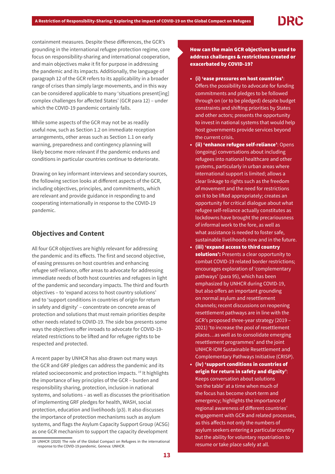containment measures. Despite these differences, the GCR's grounding in the international refugee protection regime, core focus on responsibility-sharing and international cooperation, and main objectives make it fit for purpose in addressing the pandemic and its impacts. Additionally, the language of paragraph 12 of the GCR refers to its applicability in a broader range of crises than simply large movements, and in this way can be considered applicable to many 'situations present[ing] complex challenges for affected States' (GCR para 12) – under which the COVID-19 pandemic certainly falls.

While some aspects of the GCR may not be as readily useful now, such as Section 1.2 on immediate reception arrangements, other areas such as Section 1.1 on early warning, preparedness and contingency planning will likely become more relevant if the pandemic endures and conditions in particular countries continue to deteriorate.

Drawing on key informant interviews and secondary sources, the following section looks at different aspects of the GCR, including objectives, principles, and commitments, which are relevant and provide guidance in responding to and cooperating internationally in response to the COVID-19 pandemic.

# **Objectives and Content**

All four GCR objectives are highly relevant for addressing the pandemic and its effects. The first and second objective, of easing pressures on host countries and enhancing refugee self-reliance, offer areas to advocate for addressing immediate needs of both host countries and refugees in light of the pandemic and secondary impacts. The third and fourth objectives – to 'expand access to host country solutions' and to 'support conditions in countries of origin for return in safety and dignity' – concentrate on concrete areas of protection and solutions that must remain priorities despite other needs related to COVID-19. The side box presents some ways the objectives offer inroads to advocate for COVID-19 related restrictions to be lifted and for refugee rights to be respected and protected.

A recent paper by UNHCR has also drawn out many ways the GCR and GRF pledges can address the pandemic and its related socioeconomic and protection impacts. 19 It highlights the importance of key principles of the GCR – burden and responsibility sharing, protection, inclusion in national systems, and solutions – as well as discusses the prioritisation of implementing GRF pledges for health, WASH, social protection, education and livelihoods (p3). It also discusses the importance of protection mechanisms such as asylum systems, and flags the Asylum Capacity Support Group (ACSG) as one GCR mechanism to support the capacity development

# How can the main GCR objectives be used to address challenges & restrictions created or exacerbated by COVID-19?

- (i) 'ease pressures on host countries': Offers the possibility to advocate for funding commitments and pledges to be followed through on (or to be pledged) despite budget constraints and shifting priorities by States and other actors; presents the opportunity to invest in national systems that would help host governments provide services beyond the current crisis.
- (ii) 'enhance refugee self-reliance': Opens (ongoing) conversations about including refugees into national healthcare and other systems, particularly in urban areas where international support is limited; allows a clear linkage to rights such as the freedom of movement and the need for restrictions on it to be lifted appropriately; creates an opportunity for critical dialogue about what refugee self-reliance actually constitutes as lockdowns have brought the precariousness of informal work to the fore, as well as what assistance is needed to foster safe, sustainable livelihoods now and in the future.
- (iii) 'expand access to third country solutions': Presents a clear opportunity to combat COVID-19 related border restrictions; encourages exploration of 'complementary pathways' (para 95), which has been emphasized by UNHCR during COVID-19, but also offers an important grounding on normal asylum and resettlement channels; recent discussions on reopening resettlement pathways are in line with the GCR's proposed three-year strategy (2019 – 2021) 'to increase the pool of resettlement places…as well as to consolidate emerging resettlement programmes' and the joint UNHCR-IOM Sustainable Resettlement and Complementary Pathways Initiative (CRISP).
- (iv) 'support conditions in countries of origin for return in safety and dignity': Keeps conversation about solutions 'on the table' at a time when much of the focus has become short-term and emergency; highlights the importance of regional awareness of different countries' engagement with GCR and related processes, as this affects not only the numbers of asylum seekers entering a particular country but the ability for voluntary repatriation to

<sup>19</sup> UNHCR (2020) The role of the Global Compact on Refugees in the international<br>resume or take place safely at all. response to the COVID-19 pandemic. Geneva: UNHCR.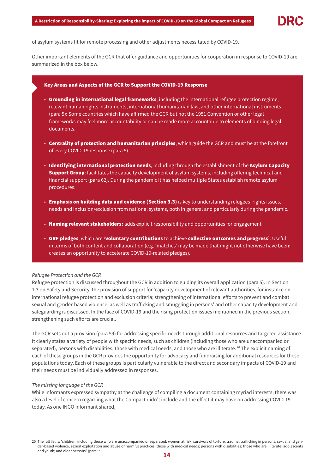

of asylum systems fit for remote processing and other adjustments necessitated by COVID-19.

Other important elements of the GCR that offer guidance and opportunities for cooperation in response to COVID-19 are summarized in the box below.

#### Key Areas and Aspects of the GCR to Support the COVID-19 Response

- Grounding in international legal frameworks, including the international refugee protection regime, relevant human rights instruments, international humanitarian law, and other international instruments (para 5): Some countries which have affirmed the GCR but not the 1951 Convention or other legal frameworks may feel more accountability or can be made more accountable to elements of binding legal documents.
- Centrality of protection and humanitarian principles, which guide the GCR and must be at the forefront of every COVID-19 response (para 5).
- Identifying international protection needs, including through the establishment of the Asylum Capacity Support Group: facilitates the capacity development of asylum systems, including offering technical and financial support (para 62). During the pandemic it has helped multiple States establish remote asylum procedures.
- Emphasis on building data and evidence (Section 3.3) is key to understanding refugees' rights issues, needs and inclusion/exclusion from national systems, both in general and particularly during the pandemic.
- Naming relevant stakeholders: adds explicit responsibility and opportunities for engagement
- GRF pledges, which are 'voluntary contributions to achieve collective outcomes and progress': Useful in terms of both content and collaboration (e.g. 'matches' may be made that might not otherwise have been; creates an opportunity to accelerate COVID-19-related pledges).

#### Refugee Protection and the GCR

Refugee protection is discussed throughout the GCR in addition to guiding its overall application (para 5). In Section 1.3 on Safety and Security, the provision of support for 'capacity development of relevant authorities, for instance on international refugee protection and exclusion criteria; strengthening of international efforts to prevent and combat sexual and gender-based violence, as well as trafficking and smuggling in persons' and other capacity development and safeguarding is discussed. In the face of COVID-19 and the rising protection issues mentioned in the previous section, strengthening such efforts are crucial.

The GCR sets out a provision (para 59) for addressing specific needs through additional resources and targeted assistance. It clearly states a variety of people with specific needs, such as children (including those who are unaccompanied or separated), persons with disabilities, those with medical needs, and those who are illiterate. <sup>20</sup> The explicit naming of each of these groups in the GCR provides the opportunity for advocacy and fundraising for additional resources for these populations today. Each of these groups is particularly vulnerable to the direct and secondary impacts of COVID-19 and their needs must be individually addressed in responses.

#### The missing language of the GCR

While informants expressed sympathy at the challenge of compiling a document containing myriad interests, there was also a level of concern regarding what the Compact didn't include and the effect it may have on addressing COVID-19 today. As one INGO informant shared,

<sup>20</sup> The full list is: 'children, including those who are unaccompanied or separated; women at risk; survivors of torture, trauma, trafficking in persons, sexual and gender-based violence, sexual exploitation and abuse or harmful practices; those with medical needs; persons with disabilities; those who are illiterate; adolescents and youth; and older persons.' (para 59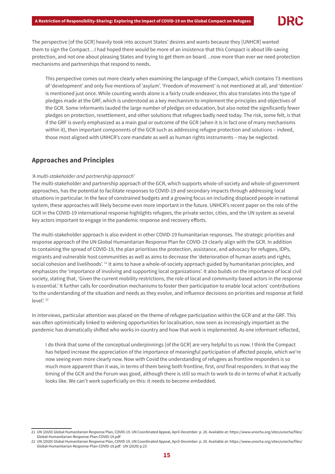

The perspective [of the GCR] heavily took into account States' desires and wants because they [UNHCR] wanted them to sign the Compact…I had hoped there would be more of an insistence that this Compact is about life-saving protection, and not one about pleasing States and trying to get them on board…now more than ever we need protection mechanisms and partnerships that respond to needs.

 This perspective comes out more clearly when examining the language of the Compact, which contains 73 mentions of 'development' and only five mentions of 'asylum'. 'Freedom of movement' is not mentioned at all, and 'detention' is mentioned just once. While counting words alone is a fairly crude endeavor, this also translates into the type of pledges made at the GRF, which is understood as a key mechanism to implement the principles and objectives of the GCR. Some informants lauded the large number of pledges on education, but also noted the significantly fewer pledges on protection, resettlement, and other solutions that refugees badly need today. The risk, some felt, is that if the GRF is overly emphasized as a main goal or outcome of the GCR (when it is in fact one of many mechanisms within it), then important components of the GCR such as addressing refugee protection and solutions – indeed, those most aligned with UNHCR's core mandate as well as human rights instruments – may be neglected.

# **Approaches and Principles**

# 'A multi-stakeholder and partnership approach'

The multi-stakeholder and partnership approach of the GCR, which supports whole-of-society and whole-of-government approaches, has the potential to facilitate responses to COVID-19 and secondary impacts through addressing local situations in particular. In the face of constrained budgets and a growing focus on including displaced people in national system, these approaches will likely become even more important in the future. UNHCR's recent paper on the role of the GCR in the COVID-19 international response highlights refugees, the private sector, cities, and the UN system as several key actors important to engage in the pandemic response and recovery efforts.

The multi-stakeholder approach is also evident in other COVID-19 humanitarian responses. The strategic priorities and response approach of the UN Global Humanitarian Response Plan for COVID-19 clearly align with the GCR. In addition to containing the spread of COVID-19, the plan prioritises the protection, assistance, and advocacy for refugees, IDPs, migrants and vulnerable host communities as well as aims to decrease the 'deterioration of human assets and rights, social cohesion and livelihoods'.<sup>21</sup> It aims to have a whole-of-society approach guided by humanitarian principles, and emphasizes the 'importance of involving and supporting local organizations'. It also builds on the importance of local civil society, stating that, 'Given the current mobility restrictions, the role of local and community-based actors in the response is essential.' It further calls for coordination mechanisms to foster their participation to enable local actors' contributions 'to the understanding of the situation and needs as they evolve, and influence decisions on priorities and response at field level'. 22

In interviews, particular attention was placed on the theme of refugee participation within the GCR and at the GRF. This was often optimistically linked to widening opportunities for localisation, now seen as increasingly important as the pandemic has dramatically shifted who works in-country and how that work is implemented. As one informant reflected,

 I do think that some of the conceptual underpinnings [of the GCR] are very helpful to us now. I think the Compact has helped increase the appreciation of the importance of meaningful participation of affected people, which we're now seeing even more clearly now. Now with Covid the understanding of refugees as frontline responders is so much more apparent than it was, in terms of them being both frontline, first, and final responders. In that way the timing of the GCR and the Forum was good, although there is still so much to work to do in terms of what it actually looks like. We can't work superficially on this: it needs to become embedded.

<sup>21</sup> UN (2020) Global Humanitarian Response Plan, COVID-19. UN Coordinated Appeal, April-December. p. 20. Available at: https://www.unocha.org/sites/unocha/files/ Global-Humanitarian-Response-Plan-COVID-19.pdf

<sup>22</sup> UN (2020) Global Humanitarian Response Plan, COVID-19. UN Coordinated Appeal, April-December. p. 20. Available at: https://www.unocha.org/sites/unocha/files/ Global-Humanitarian-Response-Plan-COVID-19.pdf UN (2020) p.23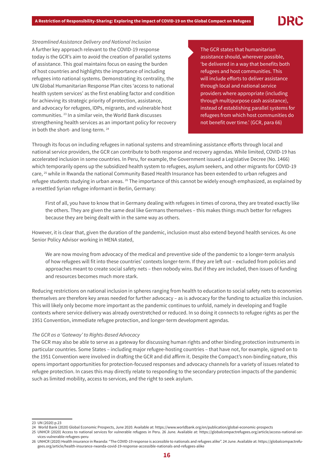Streamlined Assistance Delivery and National Inclusion A further key approach relevant to the COVID-19 response today is the GCR's aim to avoid the creation of parallel systems of assistance. This goal maintains focus on easing the burden of host countries and highlights the importance of including refugees into national systems. Demonstrating its centrality, the UN Global Humanitarian Response Plan cites 'access to national health system services' as the first enabling factor and condition for achieving its strategic priority of protection, assistance, and advocacy for refugees, IDPs, migrants, and vulnerable host communities. 23 In a similar vein, the World Bank discusses strengthening health services as an important policy for recovery in both the short- and long-term. 24

The GCR states that humanitarian assistance should, wherever possible, 'be delivered in a way that benefits both refugees and host communities. This will include efforts to deliver assistance through local and national service providers where appropriate (including through multipurpose cash assistance), instead of establishing parallel systems for refugees from which host communities do not benefit over time.' (GCR, para 66)

Through its focus on including refugees in national systems and streamlining assistance efforts through local and national service providers, the GCR can contribute to both response and recovery agendas. While limited, COVID-19 has accelerated inclusion in some countries. In Peru, for example, the Government issued a Legislative Decree (No. 1466) which temporarily opens up the subsidized health system to refugees, asylum seekers, and other migrants for COVID-19 care, <sup>25</sup> while in Rwanda the national Community Based Health Insurance has been extended to urban refugees and refugee students studying in urban areas. <sup>26</sup> The importance of this cannot be widely enough emphasized, as explained by a resettled Syrian refugee informant in Berlin, Germany:

 First of all, you have to know that in Germany dealing with refugees in times of corona, they are treated exactly like the others. They are given the same deal like Germans themselves – this makes things much better for refugees because they are being dealt with in the same way as others.

However, it is clear that, given the duration of the pandemic, inclusion must also extend beyond health services. As one Senior Policy Advisor working in MENA stated,

We are now moving from advocacy of the medical and preventive side of the pandemic to a longer-term analysis of how refugees will fit into these countries' contexts longer-term. If they are left out – excluded from policies and approaches meant to create social safety nets – then nobody wins. But if they are included, then issues of funding and resources becomes much more stark.

Reducing restrictions on national inclusion in spheres ranging from health to education to social safety nets to economies themselves are therefore key areas needed for further advocacy – as is advocacy for the funding to actualize this inclusion. This will likely only become more important as the pandemic continues to unfold, namely in developing and fragile contexts where service delivery was already overstretched or reduced. In so doing it connects to refugee rights as per the 1951 Convention, immediate refugee protection, and longer-term development agendas.

# The GCR as a 'Gateway' to Rights-Based Advocacy

The GCR may also be able to serve as a gateway for discussing human rights and other binding protection instruments in particular countries. Some States – including major refugee-hosting countries – that have not, for example, signed on to the 1951 Convention were involved in drafting the GCR and did affirm it. Despite the Compact's non-binding nature, this opens important opportunities for protection-focused responses and advocacy channels for a variety of issues related to refugee protection. In cases this may directly relate to responding to the secondary protection impacts of the pandemic such as limited mobility, access to services, and the right to seek asylum.

<sup>23</sup> UN (2020) p.23

<sup>24</sup> World Bank (2020) Global Economic Prospects, June 2020. Available at: https://www.worldbank.org/en/publication/global-economic-prospects

<sup>25</sup> UNHCR (2020) Access to national services for vulnerable refugees in Peru. 26 June. Available at: https://globalcompactrefugees.org/article/access-national-services-vulnerable-refugees-peru

<sup>26</sup> UNHCR (2020) Health insurance in Rwanda: "The COVID-19 response is accessible to nationals and refugees alike". 24 June. Available at: https://globalcompactrefugees.org/article/health-insurance-rwanda-covid-19-response-accessible-nationals-and-refugees-alike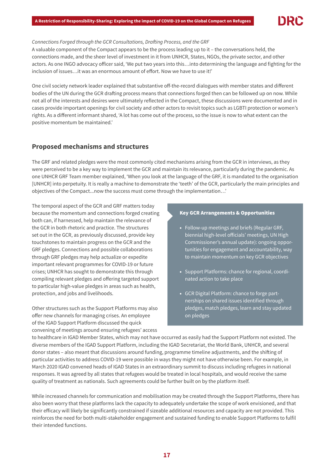# Connections Forged through the GCR Consultations, Drafting Process, and the GRF

A valuable component of the Compact appears to be the process leading up to it – the conversations held, the connections made, and the sheer level of investment in it from UNHCR, States, NGOs, the private sector, and other actors. As one INGO advocacy officer said, 'We put two years into this…into determining the language and fighting for the inclusion of issues…it was an enormous amount of effort. Now we have to use it!'

One civil society network leader explained that substantive off-the-record dialogues with member states and different bodies of the UN during the GCR drafting process means that connections forged then can be followed up on now. While not all of the interests and desires were ultimately reflected in the Compact, these discussions were documented and in cases provide important openings for civil society and other actors to revisit topics such as LGBTI protection or women's rights. As a different informant shared, 'A lot has come out of the process, so the issue is now to what extent can the positive momentum be maintained.'

# **Proposed mechanisms and structures**

The GRF and related pledges were the most commonly cited mechanisms arising from the GCR in interviews, as they were perceived to be a key way to implement the GCR and maintain its relevance, particularly during the pandemic. As one UNHCR GRF Team member explained, 'When you look at the language of the GRF, it is mandated to the organisation [UNHCR] into perpetuity. It is really a machine to demonstrate the 'teeth' of the GCR, particularly the main principles and objectives of the Compact...now the success must come through the implementation…'

The temporal aspect of the GCR and GRF matters today because the momentum and connections forged creating both can, if harnessed, help maintain the relevance of the GCR in both rhetoric and practice. The structures set out in the GCR, as previously discussed, provide key touchstones to maintain progress on the GCR and the GRF pledges. Connections and possible collaborations through GRF pledges may help actualize or expedite important relevant programmes for COVID-19 or future crises; UNHCR has sought to demonstrate this through compiling relevant pledges and offering targeted support to particular high-value pledges in areas such as health, protection, and jobs and livelihoods.

Other structures such as the Support Platforms may also offer new channels for managing crises. An employee of the IGAD Support Platform discussed the quick convening of meetings around ensuring refugees' access

## Key GCR Arrangements & Opportunities

- Follow-up meetings and briefs (Regular GRF, biennial high-level officials' meetings, UN High Commissioner's annual update): ongoing opportunities for engagement and accountability, way to maintain momentum on key GCR objectives
- Support Platforms: chance for regional, coordinated action to take place
- GCR Digital Platform: chance to forge partnerships on shared issues identified through pledges, match pledges, learn and stay updated on pledges

to healthcare in IGAD Member States, which may not have occurred as easily had the Support Platform not existed. The diverse members of the IGAD Support Platform, including the IGAD Secretariat, the World Bank, UNHCR, and several donor states – also meant that discussions around funding, programme timeline adjustments, and the shifting of particular activities to address COVID-19 were possible in ways they might not have otherwise been. For example, in March 2020 IGAD convened heads of IGAD States in an extraordinary summit to discuss including refugees in national responses. It was agreed by all states that refugees would be treated in local hospitals, and would receive the same quality of treatment as nationals. Such agreements could be further built on by the platform itself.

While increased channels for communication and mobilisation may be created through the Support Platforms, there has also been worry that these platforms lack the capacity to adequately undertake the scope of work envisioned, and that their efficacy will likely be significantly constrained if sizeable additional resources and capacity are not provided. This reinforces the need for both multi-stakeholder engagement and sustained funding to enable Support Platforms to fulfil their intended functions.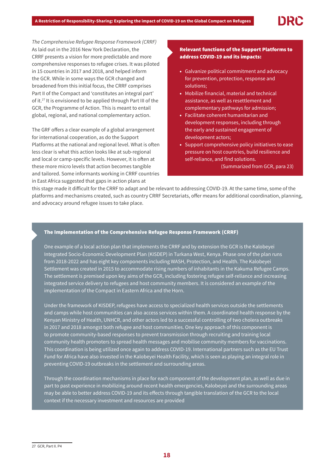The Comprehensive Refugee Response Framework (CRRF) As laid out in the 2016 New York Declaration, the CRRF presents a vision for more predictable and more comprehensive responses to refugee crises. It was piloted in 15 countries in 2017 and 2018, and helped inform the GCR. While in some ways the GCR changed and broadened from this initial focus, the CRRF comprises Part II of the Compact and 'constitutes an integral part' of it.27 It is envisioned to be applied through Part III of the GCR, the Programme of Action. This is meant to entail global, regional, and national complementary action.

The GRF offers a clear example of a global arrangement for international cooperation, as do the Support Platforms at the national and regional level. What is often less clear is what this action looks like at sub-regional and local or camp-specific levels. However, it is often at these more micro levels that action becomes tangible and tailored. Some informants working in CRRF countries in East Africa suggested that gaps in action plans at

# Relevant functions of the Support Platforms to address COVID-19 and its impacts:

- Galvanize political commitment and advocacy for prevention, protection, response and solutions;
- Mobilize financial, material and technical assistance, as well as resettlement and complementary pathways for admission;
- Facilitate coherent humanitarian and development responses, including through the early and sustained engagement of development actors;
- Support comprehensive policy initiatives to ease pressure on host countries, build resilience and self-reliance, and find solutions.
	- (Summarized from GCR, para 23)

this stage made it difficult for the CRRF to adapt and be relevant to addressing COVID-19. At the same time, some of the platforms and mechanisms created, such as country CRRF Secretariats, offer means for additional coordination, planning, and advocacy around refugee issues to take place.

# The Implementation of the Comprehensive Refugee Response Framework (CRRF)

One example of a local action plan that implements the CRRF and by extension the GCR is the Kalobeyei Integrated Socio-Economic Development Plan (KISDEP) in Turkana West, Kenya. Phase one of the plan runs from 2018-2022 and has eight key components including WASH, Protection, and Health. The Kalobeyei Settlement was created in 2015 to accommodate rising numbers of inhabitants in the Kakuma Refugee Camps. The settlement is premised upon key aims of the GCR, including fostering refugee self-reliance and increasing integrated service delivery to refugees and host community members. It is considered an example of the implementation of the Compact in Eastern Africa and the Horn.

Under the framework of KISDEP, refugees have access to specialized health services outside the settlements and camps while host communities can also access services within them. A coordinated health response by the Kenyan Ministry of Health, UNHCR, and other actors led to a successful controlling of two cholera outbreaks in 2017 and 2018 amongst both refugee and host communities. One key approach of this component is to promote community-based responses to prevent transmission through recruiting and training local community health promoters to spread health messages and mobilise community members for vaccinations. This coordination is being utilized once again to address COVID-19. International partners such as the EU Trust Fund for Africa have also invested in the Kalobeyei Health Facility, which is seen as playing an integral role in preventing COVID-19 outbreaks in the settlement and surrounding areas.

Through the coordination mechanisms in place for each component of the development plan, as well as due in part to past experience in mobilizing around recent health emergencies, Kalobeyei and the surrounding areas may be able to better address COVID-19 and its effects through tangible translation of the GCR to the local context if the necessary investment and resources are provided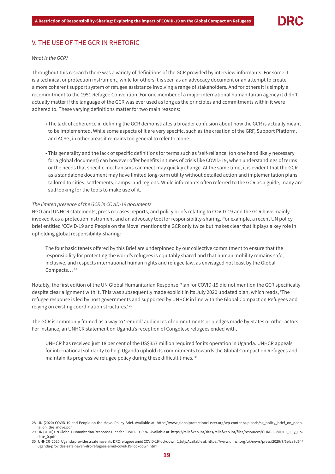# V. THE USE OF THE GCR IN RHETORIC

# What is the GCR?

Throughout this research there was a variety of definitions of the GCR provided by interview informants. For some it is a technical or protection instrument, while for others it is seen as an advocacy document or an attempt to create a more coherent support system of refugee assistance involving a range of stakeholders. And for others it is simply a recommitment to the 1951 Refugee Convention. For one member of a major international humanitarian agency it didn't actually matter if the language of the GCR was ever used as long as the principles and commitments within it were adhered to. These varying definitions matter for two main reasons:

- The lack of coherence in defining the GCR demonstrates a broader confusion about how the GCR is actually meant to be implemented. While some aspects of it are very specific, such as the creation of the GRF, Support Platform, and ACSG, in other areas it remains too general to refer to alone.
- This generality and the lack of specific definitions for terms such as 'self-reliance' (on one hand likely necessary for a global document) can however offer benefits in times of crisis like COVID-19, when understandings of terms or the needs that specific mechanisms can meet may quickly change. At the same time, it is evident that the GCR as a standalone document may have limited long-term utility without detailed action and implementation plans tailored to cities, settlements, camps, and regions. While informants often referred to the GCR as a guide, many are still looking for the tools to make use of it.

#### The limited presence of the GCR in COVID-19 documents

NGO and UNHCR statements, press releases, reports, and policy briefs relating to COVID-19 and the GCR have mainly invoked it as a protection instrument and an advocacy tool for responsibility-sharing. For example, a recent UN policy brief entitled 'COVID-19 and People on the Move' mentions the GCR only twice but makes clear that it plays a key role in upholding global responsibility-sharing:

The four basic tenets offered by this Brief are underpinned by our collective commitment to ensure that the responsibility for protecting the world's refugees is equitably shared and that human mobility remains safe, inclusive, and respects international human rights and refugee law, as envisaged not least by the Global Compacts...<sup>28</sup>

Notably, the first edition of the UN Global Humanitarian Response Plan for COVID-19 did not mention the GCR specifically despite clear alignment with it. This was subsequently made explicit in its July 2020 updated plan, which reads, 'The refugee response is led by host governments and supported by UNHCR in line with the Global Compact on Refugees and relying on existing coordination structures.' 29

The GCR is commonly framed as a way to 'remind' audiences of commitments or pledges made by States or other actors. For instance, an UNHCR statement on Uganda's reception of Congolese refugees ended with,

UNHCR has received just 18 per cent of the US\$357 million required for its operation in Uganda. UNHCR appeals for international solidarity to help Uganda uphold its commitments towards the Global Compact on Refugees and maintain its progressive refugee policy during these difficult times. <sup>30</sup>

<sup>28</sup> UN (2020) COVID-19 and People on the Move. Policy Brief. Available at: https://www.globalprotectioncluster.org/wp-content/uploads/sg\_policy\_brief\_on\_people\_on\_the\_move.pdf

<sup>29</sup> UN (2020) UN Global Humanitarian Response Plan for COVID-19. P. 87. Available at: https://reliefweb.int/sites/reliefweb.int/files/resources/GHRP-COVID19\_July\_update\_0.pdf

<sup>30</sup> UNHCR (2020) Uganda provides a safe haven to DRC refugees amid COVID-19 lockdown. 1 July. Available at: https://www.unhcr.org/uk/news/press/2020/7/5efca8d64/ uganda-provides-safe-haven-drc-refugees-amid-covid-19-lockdown.html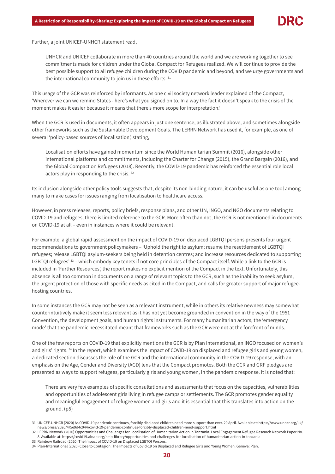Further, a joint UNICEF-UNHCR statement read,

UNHCR and UNICEF collaborate in more than 40 countries around the world and we are working together to see commitments made for children under the Global Compact for Refugees realized. We will continue to provide the best possible support to all refugee children during the COVID pandemic and beyond, and we urge governments and the international community to join us in these efforts. <sup>31</sup>

This usage of the GCR was reinforced by informants. As one civil society network leader explained of the Compact, 'Wherever we can we remind States - here's what you signed on to. In a way the fact it doesn't speak to the crisis of the moment makes it easier because it means that there's more scope for interpretation.'

When the GCR is used in documents, it often appears in just one sentence, as illustrated above, and sometimes alongside other frameworks such as the Sustainable Development Goals. The LERRN Network has used it, for example, as one of several 'policy-based sources of localisation', stating,

Localisation efforts have gained momentum since the World Humanitarian Summit (2016), alongside other international platforms and commitments, including the Charter for Change (2015), the Grand Bargain (2016), and the Global Compact on Refugees (2018). Recently, the COVID-19 pandemic has reinforced the essential role local actors play in responding to the crisis.<sup>32</sup>

Its inclusion alongside other policy tools suggests that, despite its non-binding nature, it can be useful as one tool among many to make cases for issues ranging from localisation to healthcare access.

However, in press releases, reports, policy briefs, response plans, and other UN, INGO, and NGO documents relating to COVID-19 and refugees, there is limited reference to the GCR. More often than not, the GCR is not mentioned in documents on COVID-19 at all – even in instances where it could be relevant.

For example, a global rapid assessment on the impact of COVID-19 on displaced LGBTQI persons presents four urgent recommendations to government policymakers – 'Uphold the right to asylum; resume the resettlement of LGBTQI refugees; release LGBTQI asylum-seekers being held in detention centres; and increase resources dedicated to supporting LGBTQI refugees' 33 – which embody key tenets if not core principles of the Compact itself. While a link to the GCR is included in 'Further Resources', the report makes no explicit mention of the Compact in the text. Unfortunately, this absence is all too common in documents on a range of relevant topics to the GCR, such as the inability to seek asylum, the urgent protection of those with specific needs as cited in the Compact, and calls for greater support of major refugeehosting countries.

In some instances the GCR may not be seen as a relevant instrument, while in others its relative newness may somewhat counterintuitively make it seem less relevant as it has not yet become grounded in convention in the way of the 1951 Convention, the development goals, and human rights instruments. For many humanitarian actors, the 'emergency mode' that the pandemic necessitated meant that frameworks such as the GCR were not at the forefront of minds.

One of the few reports on COVID-19 that explicitly mentions the GCR is by Plan International, an INGO focused on women's and girls' rights. 34 In the report, which examines the impact of COVID-19 on displaced and refugee girls and young women, a dedicated section discusses the role of the GCR and the international community in the COVID-19 response, with an emphasis on the Age, Gender and Diversity (AGD) lens that the Compact promotes. Both the GCR and GRF pledges are presented as ways to support refugees, particularly girls and young women, in the pandemic response. It is noted that:

There are very few examples of specific consultations and assessments that focus on the capacities, vulnerabilities and opportunities of adolescent girls living in refugee camps or settlements. The GCR promotes gender equality and meaningful engagement of refugee women and girls and it is essential that this translates into action on the ground. (p5)

<sup>31</sup> UNICEF-UNHCR (2020) As COVID-19 pandemic continues, forcibly displaced children need more support than ever. 20 April. Available at: https://www.unhcr.org/uk/ news/press/2020/4/5e9d4c044/covid-19-pandemic-continues-forcibly-displaced-children-need-support.html

<sup>32</sup> LERRN Network (2020) Opportunities and Challenges for Localisation of Humanitarian Action in Tanzania. Local Engagement Refugee Research Network Paper No. 8. Available at: https://covid19.alnap.org/help-library/opportunities-and-challenges-for-localisation-of-humanitarian-action-in-tanzania 33 Rainbow Railroad (2020) The Impact of COVID-19 on Displaced LGBTQI Persons.

<sup>34</sup> Plan-International (2020) Close to Contagion: The Impacts of Covid-19 on Displaced and Refugee Girls and Young Women. Geneva: Plan.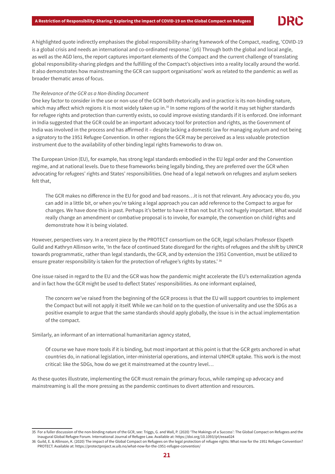A highlighted quote indirectly emphasises the global responsibility-sharing framework of the Compact, reading, 'COVID-19 is a global crisis and needs an international and co-ordinated response.' (p5) Through both the global and local angle, as well as the AGD lens, the report captures important elements of the Compact and the current challenge of translating global responsibility-sharing pledges and the fulfilling of the Compact's objectives into a reality locally around the world. It also demonstrates how mainstreaming the GCR can support organisations' work as related to the pandemic as well as broader thematic areas of focus.

# The Relevance of the GCR as a Non-Binding Document

One key factor to consider in the use or non-use of the GCR both rhetorically and in practice is its non-binding nature, which may affect which regions it is most widely taken up in.<sup>35</sup> In some regions of the world it may set higher standards for refugee rights and protection than currently exists, so could improve existing standards if it is enforced. One informant in India suggested that the GCR could be an important advocacy tool for protection and rights, as the Government of India was involved in the process and has affirmed it – despite lacking a domestic law for managing asylum and not being a signatory to the 1951 Refugee Convention. In other regions the GCR may be perceived as a less valuable protection instrument due to the availability of other binding legal rights frameworks to draw on.

The European Union (EU), for example, has strong legal standards embodied in the EU legal order and the Convention regime, and at national levels. Due to these frameworks being legally binding, they are preferred over the GCR when advocating for refugees' rights and States' responsibilities. One head of a legal network on refugees and asylum seekers felt that,

The GCR makes no difference in the EU for good and bad reasons…it is not that relevant. Any advocacy you do, you can add in a little bit, or when you're taking a legal approach you can add reference to the Compact to argue for changes. We have done this in past. Perhaps it's better to have it than not but it's not hugely important. What would really change an amendment or combative proposal is to invoke, for example, the convention on child rights and demonstrate how it is being violated.

However, perspectives vary. In a recent piece by the PROTECT consortium on the GCR, legal scholars Professor Elspeth Guild and Kathryn Allinson write, 'In the face of continued State disregard for the rights of refugees and the shift by UNHCR towards programmatic, rather than legal standards, the GCR, and by extension the 1951 Convention, must be utilized to ensure greater responsibility is taken for the protection of refugee's rights by states.' 36

One issue raised in regard to the EU and the GCR was how the pandemic might accelerate the EU's externalization agenda and in fact how the GCR might be used to deflect States' responsibilities. As one informant explained,

 The concern we've raised from the beginning of the GCR process is that the EU will support countries to implement the Compact but will not apply it itself. While we can hold on to the question of universality and use the SDGs as a positive example to argue that the same standards should apply globally, the issue is in the actual implementation of the compact.

Similarly, an informant of an international humanitarian agency stated,

 Of course we have more tools if it is binding, but most important at this point is that the GCR gets anchored in what countries do, in national legislation, inter-ministerial operations, and internal UNHCR uptake. This work is the most critical: like the SDGs, how do we get it mainstreamed at the country level…

As these quotes illustrate, implementing the GCR must remain the primary focus, while ramping up advocacy and mainstreaming is all the more pressing as the pandemic continues to divert attention and resources.

<sup>35</sup> For a fuller discussion of the non-binding nature of the GCR, see: Triggs, G. and Wall, P. (2020) 'The Makings of a Success': The Global Compact on Refugees and the Inaugural Global Refugee Forum. International Journal of Refugee Law. Available at: https://doi.org/10.1093/ijrl/eeaa024

<sup>36</sup> Guild, E. & Allinson, K. (2020) The impact of the Global Compact on Refugees on the legal protection of refugee rights: What now for the 1951 Refugee Convention? PROTECT. Available at: https://protectproject.w.uib.no/what-now-for-the-1951-refugee-convention/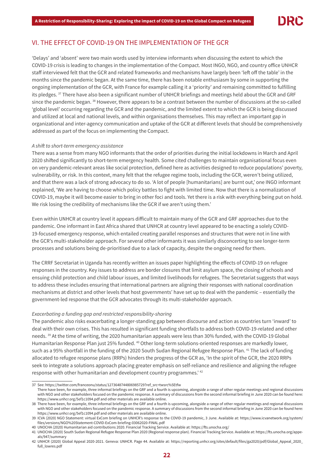# VI. THE EFFECT OF COVID-19 ON THE IMPLEMENTATION OF THE GCR

'Delays' and 'absent' were two main words used by interview informants when discussing the extent to which the COVID-19 crisis is leading to changes in the implementation of the Compact. Most INGO, NGO, and country office UNHCR staff interviewed felt that the GCR and related frameworks and mechanisms have largely been 'left off the table' in the months since the pandemic began. At the same time, there has been notable enthusiasm by some in supporting the ongoing implementation of the GCR, with France for example calling it a 'priority' and remaining committed to fulfilling its pledges.<sup>37</sup> There have also been a significant number of UNHCR briefings and meetings held about the GCR and GRF since the pandemic began. 38 However, there appears to be a contrast between the number of discussions at the so-called 'global level' occurring regarding the GCR and the pandemic, and the limited extent to which the GCR is being discussed and utilized at local and national levels, and within organisations themselves. This may reflect an important gap in organizational and inter-agency communication and uptake of the GCR at different levels that should be comprehensively addressed as part of the focus on implementing the Compact.

#### A shift to short-term emergency assistance

There was a sense from many NGO informants that the order of priorities during the initial lockdowns in March and April 2020 shifted significantly to short-term emergency health. Some cited challenges to maintain organisational focus even on very pandemic-relevant areas like social protection, defined here as activities designed to reduce populations' poverty, vulnerability, or risk. In this context, many felt that the refugee regime tools, including the GCR, weren't being utilized, and that there was a lack of strong advocacy to do so. 'A lot of people [humanitarians] are burnt out,' one INGO informant explained, 'We are having to choose which policy battles to fight with limited time. Now that there is a normalization of COVID-19, maybe it will become easier to bring in other foci and tools. Yet there is a risk with everything being put on hold. We risk losing the credibility of mechanisms like the GCR if we aren't using them.'

Even within UNHCR at country level it appears difficult to maintain many of the GCR and GRF approaches due to the pandemic. One informant in East Africa shared that UNHCR at country level appeared to be enacting a solely COVID-19-focused emergency response, which entailed creating parallel responses and structures that were not in line with the GCR's multi-stakeholder approach. For several other informants it was similarly disconcerting to see longer-term processes and solutions being de-prioritised due to a lack of capacity, despite the ongoing need for them.

The CRRF Secretariat in Uganda has recently written an issues paper highlighting the effects of COVID-19 on refugee responses in the country. Key issues to address are border closures that limit asylum space, the closing of schools and ensuing child protection and child labour issues, and limited livelihoods for refugees. The Secretariat suggests that ways to address these includes ensuring that international partners are aligning their responses with national coordination mechanisms at district and other levels that host governments' have set up to deal with the pandemic – essentially the government-led response that the GCR advocates through its multi-stakeholder approach.

#### Exacerbating a funding gap and restricted responsibility-sharing

The pandemic also risks exacerbating a longer-standing gap between discourse and action as countries turn 'inward' to deal with their own crises. This has resulted in significant funding shortfalls to address both COVID-19-related and other needs. 39 At the time of writing, the 2020 humanitarian appeals were less than 30% funded, with the COVID-19 Global Humanitarian Response Plan just 25% funded. 40 Other long-term solutions-oriented responses are markedly lower, such as a 95% shortfall in the funding of the 2020 South Sudan Regional Refugee Response Plan. 41 The lack of funding allocated to refugee response plans (RRPs) hinders the progress of the GCR as, 'In the spirit of the GCR, the 2020 RRPs seek to integrate a solutions approach placing greater emphasis on self-reliance and resilience and aligning the refugee response with other humanitarian and development country programmes.' 42

<sup>37</sup> See: https://twitter.com/franceonu/status/1273648744806985729?ref\_src=twsrc%5Etfw

There have been, for example, three informal briefings on the GRF and a fourth is upcoming, alongside a range of other regular meetings and regional discussions with NGO and other stakeholders focused on the pandemic response. A summary of discussions from the second informal briefing in June 2020 can be found here: https://www.unhcr.org/5ef1c1094.pdf and other materials are available online.

<sup>38</sup> There have been, for example, three informal briefings on the GRF and a fourth is upcoming, alongside a range of other regular meetings and regional discussions with NGO and other stakeholders focused on the pandemic response. A summary of discussions from the second informal briefing in June 2020 can be found here: https://www.unhcr.org/5ef1c1094.pdf and other materials are available online.

<sup>39</sup> ICVA (2020) NGO Statement: virtual ExCom briefing on UNHCR's response to the COVID-19 pandemic, 3 June. Available at: https://www.icvanetwork.org/system/ files/versions/NGO%20Statement-COVID-ExCom-briefing-03062020-FINAL.pdf

<sup>40</sup> UNOCHA (2020) Humanitarian aid contributions 2020. Financial Tracking Service. Available at: https://fts.unocha.org/

<sup>41</sup> UNOCHA (2020) South Sudan Regional Refugee Response Plan 2020 (Regional response plan). Financial Tracking Service. Available at: https://fts.unocha.org/appeals/947/summary

<sup>42</sup> UNHCR (2020) Global Appeal 2020-2021. Geneva: UNHCR. Page 44. Available at: https://reporting.unhcr.org/sites/default/files/ga2020/pdf/Global\_Appeal\_2020\_ full\_lowres.pdf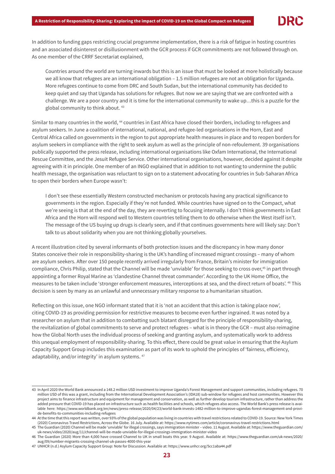In addition to funding gaps restricting crucial programme implementation, there is a risk of fatigue in hosting countries and an associated disinterest or disillusionment with the GCR process if GCR commitments are not followed through on. As one member of the CRRF Secretariat explained,

 Countries around the world are turning inwards but this is an issue that must be looked at more holistically because we all know that refugees are an international obligation – 1.5 million refugees are not an obligation for Uganda. More refugees continue to come from DRC and South Sudan, but the international community has decided to keep quiet and say that Uganda has solutions for refugees. But now we are saying that we are confronted with a challenge. We are a poor country and it is time for the international community to wake up…this is a puzzle for the global community to think about. 43

Similar to many countries in the world, 44 countries in East Africa have closed their borders, including to refugees and asylum seekers. In June a coalition of international, national, and refugee-led organisations in the Horn, East and Central Africa called on governments in the region to put appropriate health measures in place and to reopen borders for asylum seekers in compliance with the right to seek asylum as well as the principle of non-refoulement. 39 organisations publically supported the press release, including international organisations like Oxfam International, the International Rescue Committee, and the Jesuit Refugee Service. Other international organisations, however, decided against it despite agreeing with it in principle. One member of an INGO explained that in addition to not wanting to undermine the public health message, the organisation was reluctant to sign on to a statement advocating for countries in Sub-Saharan Africa to open their borders when Europe wasn't:

I don't see these essentially Western constructed mechanism or protocols having any practical significance to governments in the region. Especially if they're not funded. While countries have signed on to the Compact, what we're seeing is that at the end of the day, they are reverting to focusing internally. I don't think governments in East Africa and the Horn will respond well to Western countries telling them to do otherwise when the West itself isn't. The message of the US buying up drugs is clearly seen, and if that continues governments here will likely say: Don't talk to us about solidarity when you are not thinking globally yourselves.

A recent illustration cited by several informants of both protection issues and the discrepancy in how many donor States conceive their role in responsibility-sharing is the UK's handling of increased migrant crossings – many of whom are asylum seekers. After over 150 people recently arrived irregularly from France, Britain's minister for immigration compliance, Chris Philip, stated that the Channel will be made 'unviable' for those seeking to cross over,<sup>45</sup> in part through appointing a former Royal Marine as 'clandestine Channel threat commander'. According to the UK Home Office, the measures to be taken include 'stronger enforcement measures, interceptions at sea, and the direct return of boats'. 46 This decision is seen by many as an unlawful and unnecessary military response to a humanitarian situation.

Reflecting on this issue, one NGO informant stated that it is 'not an accident that this action is taking place now', citing COVID-19 as providing permission for restrictive measures to become even further ingrained. It was noted by a researcher on asylum that in addition to combatting such blatant disregard for the principle of responsibility-sharing, the revitalization of global commitments to serve and protect refugees – what is in theory the GCR – must also reimagine how the Global North uses the individual process of seeking and granting asylum, and systematically work to address this unequal employment of responsibility-sharing. To this effect, there could be great value in ensuring that the Asylum Capacity Support Group includes this examination as part of its work to uphold the principles of 'fairness, efficiency, adaptability, and/or integrity' in asylum systems. <sup>47</sup>

<sup>43</sup> In April 2020 the World Bank announced a 148.2 million USD investment to improve Uganda's Forest Management and support communities, including refugees. 70 million USD of this was a grant, including from the International Development Association's (IDA18) sub-window for refugees and host communities. However this project aims to finance infrastructure and equipment for management and conservation, as well as further develop tourism infrastructure, rather than address the added pressure that COVID-19 has placed on infrastructure such as health facilities and schools, which refugees also access. The World Bank's press release is available here: https://www.worldbank.org/en/news/press-release/2020/04/23/world-bank-invests-1482-million-to-improve-ugandas-forest-management-and-provide-benefits-to-communities-including-refugees

<sup>44</sup> At the time that this report was written, over 93% of the global population was living in countries with travel restrictions related to COVID-19. Source: New York Times (2020) Coronavirus Travel Restrictions, Across the Globe. 16 July. Available at: https://www.nytimes.com/article/coronavirus-travel-restrictions.html

<sup>45</sup> The Guardian (2020) Channel will be made 'unviable' for illegal crossings, says immigration minister – video. 11 August. Available at: https://www.theguardian.com/ uk-news/video/2020/aug/11/channel-will-be-made-unviable-for-illegal-crossings-immigration-minister-video

<sup>46</sup> The Guardian (2020) More than 4,000 have crossed Channel to UK in small boats this year. 9 August. Available at: https://www.theguardian.com/uk-news/2020/ aug/09/number-migrants-crossing-channel-uk-passes-4000-this-year

<sup>47</sup> UNHCR (n.d.) Asylum Capacity Support Group: Note for Discussion. Available at: https://www.unhcr.org/5cc1aba44.pdf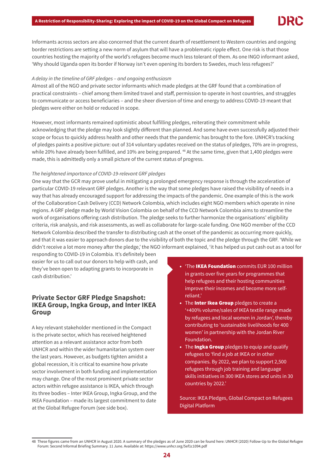Informants across sectors are also concerned that the current dearth of resettlement to Western countries and ongoing border restrictions are setting a new norm of asylum that will have a problematic ripple effect. One risk is that those countries hosting the majority of the world's refugees become much less tolerant of them. As one INGO informant asked, 'Why should Uganda open its border if Norway isn't even opening its borders to Swedes, much less refugees?'

# A delay in the timeline of GRF pledges – and ongoing enthusiasm

Almost all of the NGO and private sector informants which made pledges at the GRF found that a combination of practical constraints – chief among them limited travel and staff, permission to operate in host countries, and struggles to communicate or access beneficiaries – and the sheer diversion of time and energy to address COVID-19 meant that pledges were either on hold or reduced in scope.

However, most informants remained optimistic about fulfilling pledges, reiterating their commitment while acknowledging that the pledge may look slightly different than planned. And some have even successfully adjusted their scope or focus to quickly address health and other needs that the pandemic has brought to the fore. UNHCR's tracking of pledges paints a positive picture: out of 314 voluntary updates received on the status of pledges, 70% are in-progress, while 20% have already been fulfilled, and 10% are being prepared. <sup>48</sup> At the same time, given that 1,400 pledges were made, this is admittedly only a small picture of the current status of progress.

# The heightened importance of COVID-19-relevant GRF pledges

One way that the GCR may prove useful in mitigating a prolonged emergency response is through the acceleration of particular COVID-19 relevant GRF pledges. Another is the way that some pledges have raised the visibility of needs in a way that has already encouraged support for addressing the impacts of the pandemic. One example of this is the work of the Collaboration Cash Delivery (CCD) Network Colombia, which includes eight NGO members which operate in nine regions. A GRF pledge made by World Vision Colombia on behalf of the CCD Network Colombia aims to streamline the work of organisations offering cash distribution. The pledge seeks to further harmonize the organisations' eligibility criteria, risk analysis, and risk assessments, as well as collaborate for large-scale funding. One NGO member of the CCD Network Colombia described the transfer to distributing cash at the onset of the pandemic as occurring more quickly, and that it was easier to approach donors due to the visibility of both the topic and the pledge through the GRF. 'While we didn't receive a lot more money after the pledge,' the NGO informant explained, 'it has helped us put cash out as a tool for

responding to COVID-19 in Colombia. It's definitely been easier for us to call out our donors to help with cash, and they've been open to adapting grants to incorporate in cash distribution.'

# **Private Sector GRF Pledge Snapshot: IKEA Group, Ingka Group, and Inter IKEA Group**

A key relevant stakeholder mentioned in the Compact is the private sector, which has received heightened attention as a relevant assistance actor from both UNHCR and within the wider humanitarian system over the last years. However, as budgets tighten amidst a global recession, it is critical to examine how private sector involvement in both funding and implementation may change. One of the most prominent private sector actors within refugee assistance is IKEA, which through its three bodies – Inter IKEA Group, Ingka Group, and the IKEA Foundation – made its largest commitment to date at the Global Refugee Forum (see side box).

- The IKEA Foundation commits EUR 100 million in grants over five years for programmes that help refugees and their hosting communities improve their incomes and become more selfreliant.'
- The Inter Ikea Group pledges to create a '+400% volume/sales of IKEA textile range made by refugees and local women in Jordan', thereby contributing to 'sustainable livelihoods for 400 women' in partnership with the Jordan River Foundation.
- The **Ingka Group** pledges to equip and qualify refugees to 'find a job at IKEA or in other companies. By 2022, we plan to support 2,500 refugees through job training and language skills initiatives in 300 IKEA stores and units in 30 countries by 2022.'

Source: IKEA Pledges, Global Compact on Refugees Digital Platform

<sup>48</sup> These figures came from an UNHCR in August 2020. A summary of the pledges as of June 2020 can be found here: UNHCR (2020) Follow-Up to the Global Refugee Forum: Second Informal Briefing Summary. 11 June. Available at: https://www.unhcr.org/5ef1c1094.pdf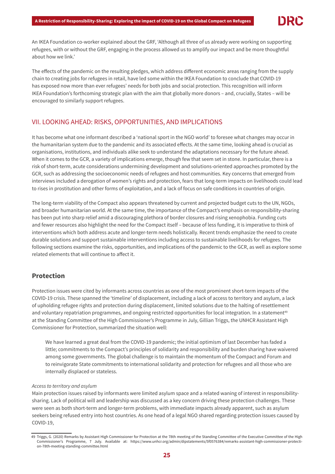

An IKEA Foundation co-worker explained about the GRF, 'Although all three of us already were working on supporting refugees, with or without the GRF, engaging in the process allowed us to amplify our impact and be more thoughtful about how we link.'

The effects of the pandemic on the resulting pledges, which address different economic areas ranging from the supply chain to creating jobs for refugees in retail, have led some within the IKEA Foundation to conclude that COVID-19 has exposed now more than ever refugees' needs for both jobs and social protection. This recognition will inform IKEA Foundation's forthcoming strategic plan with the aim that globally more donors – and, crucially, States – will be encouraged to similarly support refugees.

# VII. LOOKING AHEAD: RISKS, OPPORTUNITIES, AND IMPLICATIONS

It has become what one informant described a 'national sport in the NGO world' to foresee what changes may occur in the humanitarian system due to the pandemic and its associated effects. At the same time, looking ahead is crucial as organisations, institutions, and individuals alike seek to understand the adaptations necessary for the future ahead. When it comes to the GCR, a variety of implications emerge, though few that seem set in stone. In particular, there is a risk of short-term, acute considerations undermining development and solutions-oriented approaches promoted by the GCR, such as addressing the socioeconomic needs of refugees and host communities. Key concerns that emerged from interviews included a derogation of women's rights and protection, fears that long-term impacts on livelihoods could lead to rises in prostitution and other forms of exploitation, and a lack of focus on safe conditions in countries of origin.

The long-term viability of the Compact also appears threatened by current and projected budget cuts to the UN, NGOs, and broader humanitarian world. At the same time, the importance of the Compact's emphasis on responsibility-sharing has been put into sharp relief amid a discouraging plethora of border closures and rising xenophobia. Funding cuts and fewer resources also highlight the need for the Compact itself – because of less funding, it is imperative to think of interventions which both address acute and longer-term needs holistically. Recent trends emphasize the need to create durable solutions and support sustainable interventions including access to sustainable livelihoods for refugees. The following sections examine the risks, opportunities, and implications of the pandemic to the GCR, as well as explore some related elements that will continue to affect it.

# **Protection**

Protection issues were cited by informants across countries as one of the most prominent short-term impacts of the COVID-19 crisis. These spanned the 'timeline' of displacement, including a lack of access to territory and asylum, a lack of upholding refugee rights and protection during displacement, limited solutions due to the halting of resettlement and voluntary repatriation programmes, and ongoing restricted opportunities for local integration. In a statement<sup>49</sup> at the Standing Committee of the High Commissioner's Programme in July, Gillian Triggs, the UNHCR Assistant High Commissioner for Protection, summarized the situation well:

We have learned a great deal from the COVID-19 pandemic; the initial optimism of last December has faded a little; commitments to the Compact's principles of solidarity and responsibility and burden sharing have waivered among some governments. The global challenge is to maintain the momentum of the Compact and Forum and to reinvigorate State commitments to international solidarity and protection for refugees and all those who are internally displaced or stateless.

## Access to territory and asylum

Main protection issues raised by informants were limited asylum space and a related waning of interest in responsibilitysharing. Lack of political will and leadership was discussed as a key concern driving these protection challenges. These were seen as both short-term and longer-term problems, with immediate impacts already apparent, such as asylum seekers being refused entry into host countries. As one head of a legal NGO shared regarding protection issues caused by COVID-19,

<sup>49</sup> Triggs, G. (2020) Remarks by Assistant High Commissioner for Protection at the 78th meeting of the Standing Committee of the Executive Committee of the High Commissioner's Programme, 7 July. Available at: https://www.unhcr.org/admin/dipstatements/5f0576384/remarks-assistant-high-commissioner-protection-78th-meeting-standing-committee.html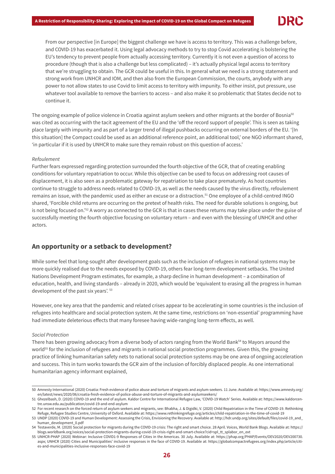From our perspective [in Europe] the biggest challenge we have is access to territory. This was a challenge before, and COVID-19 has exacerbated it. Using legal advocacy methods to try to stop Covid accelerating is bolstering the EU's tendency to prevent people from actually accessing territory. Currently it is not even a question of access to procedure (though that is also a challenge but less complicated) – it's actually physical legal access to territory that we're struggling to obtain. The GCR could be useful in this. In general what we need is a strong statement and strong work from UNHCR and IOM, and then also from the European Commission, the courts, anybody with any power to not allow states to use Covid to limit access to territory with impunity. To either insist, put pressure, use whatever tool available to remove the barriers to access – and also make it so problematic that States decide not to continue it.

The ongoing example of police violence in Croatia against asylum seekers and other migrants at the border of Bosnia<sup>50</sup> was cited as occurring with the tacit agreement of the EU and the 'off the record support of people'. This is seen as taking place largely with impunity and as part of a larger trend of illegal pushbacks occurring on external borders of the EU. '[In this situation] the Compact could be used as an additional reference point, an additional tool,' one NGO informant shared, 'in particular if it is used by UNHCR to make sure they remain robust on this question of access.'

## Refoulement

Further fears expressed regarding protection surrounded the fourth objective of the GCR, that of creating enabling conditions for voluntary repatriation to occur. While this objective can be used to focus on addressing root causes of displacement, it is also seen as a problematic gateway for repatriation to take place prematurely. As host countries continue to struggle to address needs related to COVID-19, as well as the needs caused by the virus directly, refoulement remains an issue, with the pandemic used as either an excuse or a distraction.51 One employee of a child-centred INGO shared, 'Forcible child returns are occurring on the pretext of health risks. The need for durable solutions is ongoing, but is not being focused on.'<sup>52</sup> A worry as connected to the GCR is that in cases these returns may take place under the guise of successfully meeting the fourth objective focusing on voluntary return – and even with the blessing of UNHCR and other actors.

# **An opportunity or a setback to development?**

While some feel that long-sought after development goals such as the inclusion of refugees in national systems may be more quickly realised due to the needs exposed by COVID-19, others fear long-term development setbacks. The United Nations Development Program estimates, for example, a sharp decline in human development – a combination of education, health, and living standards – already in 2020, which would be 'equivalent to erasing all the progress in human development of the past six years'. 53

However, one key area that the pandemic and related crises appear to be accelerating in some countries is the inclusion of refugees into healthcare and social protection system. At the same time, restrictions on 'non-essential' programming have had immediate deleterious effects that many foresee having wide-ranging long-term effects, as well.

# Social Protection

There has been growing advocacy from a diverse body of actors ranging from the World Bank<sup>54</sup> to Mayors around the world<sup>55</sup> for the inclusion of refugees and migrants in national social protection programmes. Given this, the growing practice of linking humanitarian safety nets to national social protection systems may be one area of ongoing acceleration and success. This in turn works towards the GCR aim of the inclusion of forcibly displaced people. As one international humanitarian agency informant explained,

<sup>50</sup> Amnesty International (2020) Croatia: Fresh evidence of police abuse and torture of migrants and asylum-seekers. 11 June. Available at: https://www.amnesty.org/ en/latest/news/2020/06/croatia-fresh-evidence-of-police-abuse-and-torture-of-migrants-and-asylumseekers/

<sup>51</sup> Ghezelbash, D. (2020) COVID-19 and the end of asylum. Kaldor Centre for International Refugee Law, 'COVID-19 Watch' Series. Available at: https://www.kaldorcentre.unsw.edu.au/publication/covid-19-and-end-asylum

<sup>52</sup> For recent research on the forced return of asylum seekers and migrants, see: Bhabha, J. & Digidki, V. (2020) Child Repatriation in the Time of COVID-19. Rethinking Refuge, Refugee Studies Centre, University of Oxford. Available at: https://www.rethinkingrefuge.org/articles/child-repatriation-in-the-time-of-covid-19

<sup>53</sup> UNDP (2020) COVID-19 and Human Development: Assessing the Crisis, Envisioning the Recovery. Available at: http://hdr.undp.org/sites/default/files/covid-19\_and\_ human\_development\_0.pdf

<sup>54</sup> Testaverde, M. (2020) Social protection for migrants during the COVID-19 crisis: The right and smart choice. 28 April. Voices, World Bank Blogs. Available at: https:// blogs.worldbank.org/voices/social-protection-migrants-during-covid-19-crisis-right-and-smart-choice?cid=spl\_tt\_splabor\_en\_ext

<sup>55</sup> UNHCR-PHAP (2020) Webinar: Inclusive COVID1-9 Responses of Cities in the Americas. 30 July. Available at: https://phap.org/PHAP/Events/OEV2020/OEV200730. aspx; UNHCR (2020) Cities and Municipalities' inclusive responses in the face of COVID-19. Available at: https://globalcompactrefugees.org/index.php/article/cities-and-municipalities-inclusive-responses-face-covid-19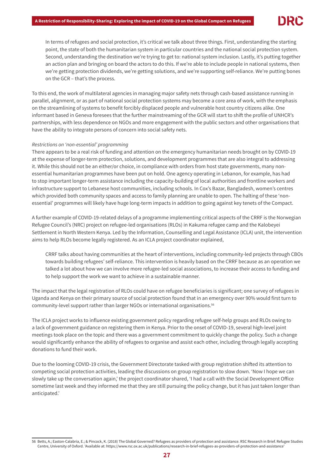In terms of refugees and social protection, it's critical we talk about three things. First, understanding the starting point, the state of both the humanitarian system in particular countries and the national social protection system. Second, understanding the destination we're trying to get to: national system inclusion. Lastly, it's putting together an action plan and bringing on board the actors to do this. If we're able to include people in national systems, then we're getting protection dividends, we're getting solutions, and we're supporting self-reliance. We're putting bones on the GCR – that's the process.

To this end, the work of multilateral agencies in managing major safety nets through cash-based assistance running in parallel, alignment, or as part of national social protection systems may become a core area of work, with the emphasis on the streamlining of systems to benefit forcibly displaced people and vulnerable host country citizens alike. One informant based in Geneva foresees that the further mainstreaming of the GCR will start to shift the profile of UNHCR's partnerships, with less dependence on NGOs and more engagement with the public sectors and other organisations that have the ability to integrate persons of concern into social safety nets.

# Restrictions on 'non-essential' programming

There appears to be a real risk of funding and attention on the emergency humanitarian needs brought on by COVID-19 at the expense of longer-term protection, solutions, and development programmes that are also integral to addressing it. While this should not be an either/or choice, in compliance with orders from host state governments, many nonessential humanitarian programmes have been put on hold. One agency operating in Lebanon, for example, has had to stop important longer-term assistance including the capacity-building of local authorities and frontline workers and infrastructure support to Lebanese host communities, including schools. In Cox's Bazar, Bangladesh, women's centres which provided both community spaces and access to family planning are unable to open. The halting of these 'nonessential' programmes will likely have huge long-term impacts in addition to going against key tenets of the Compact.

A further example of COVID-19-related delays of a programme implementing critical aspects of the CRRF is the Norwegian Refugee Council's (NRC) project on refugee-led organisations (RLOs) in Kakuma refugee camp and the Kalobeyei Settlement in North Western Kenya. Led by the Information, Counselling and Legal Assistance (ICLA) unit, the intervention aims to help RLOs become legally registered. As an ICLA project coordinator explained,

 CRRF talks about having communities at the heart of interventions, including community-led projects through CBOs towards building refugees' self-reliance. This intervention is heavily based on the CRRF because as an operation we talked a lot about how we can involve more refugee-led social associations, to increase their access to funding and to help support the work we want to achieve in a sustainable manner.

The impact that the legal registration of RLOs could have on refugee beneficiaries is significant; one survey of refugees in Uganda and Kenya on their primary source of social protection found that in an emergency over 90% would first turn to community-level support rather than larger NGOs or international organisations.56

The ICLA project works to influence existing government policy regarding refugee self-help groups and RLOs owing to a lack of government guidance on registering them in Kenya. Prior to the onset of COVID-19, several high-level joint meetings took place on the topic and there was a government commitment to quickly change the policy. Such a change would significantly enhance the ability of refugees to organise and assist each other, including through legally accepting donations to fund their work.

Due to the looming COVID-19 crisis, the Government Directorate tasked with group registration shifted its attention to competing social protection activities, leading the discussions on group registration to slow down. 'Now I hope we can slowly take up the conversation again,' the project coordinator shared, 'I had a call with the Social Development Office sometime last week and they informed me that they are still pursuing the policy change, but it has just taken longer than anticipated.'

<sup>56</sup> Betts, A.; Easton-Calabria, E.; & Pincock, K. (2018) The Global Governed? Refugees as providers of protection and assistance. RSC Research in Brief. Refugee Studies Centre, University of Oxford. 'Available at: https://www.rsc.ox.ac.uk/publications/research-in-brief-refugees-as-providers-of-protection-and-assistance'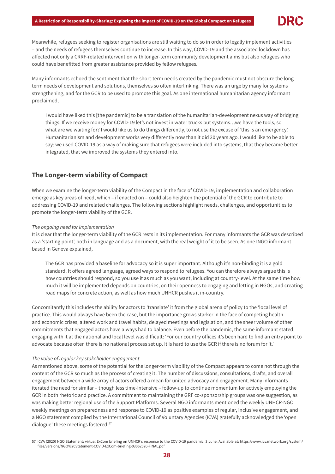

Meanwhile, refugees seeking to register organisations are still waiting to do so in order to legally implement activities – and the needs of refugees themselves continue to increase. In this way, COVID-19 and the associated lockdown has affected not only a CRRF-related intervention with longer-term community development aims but also refugees who could have benefitted from greater assistance provided by fellow refugees.

Many informants echoed the sentiment that the short-term needs created by the pandemic must not obscure the longterm needs of development and solutions, themselves so often interlinking. There was an urge by many for systems strengthening, and for the GCR to be used to promote this goal. As one international humanitarian agency informant proclaimed,

 I would have liked this [the pandemic] to be a translation of the humanitarian-development nexus way of bridging things. If we receive money for COVID-19 let's not invest in water trucks but systems…we have the tools, so what are we waiting for? I would like us to do things differently, to not use the excuse of 'this is an emergency'. Humanitarianism and development works very differently now than it did 20 years ago. I would like to be able to say: we used COVID-19 as a way of making sure that refugees were included into systems, that they became better integrated, that we improved the systems they entered into.

# **The Longer-term viability of Compact**

When we examine the longer-term viability of the Compact in the face of COVID-19, implementation and collaboration emerge as key areas of need, which – if enacted on – could also heighten the potential of the GCR to contribute to addressing COVID-19 and related challenges. The following sections highlight needs, challenges, and opportunities to promote the longer-term viability of the GCR.

# The ongoing need for implementation

It is clear that the longer-term viability of the GCR rests in its implementation. For many informants the GCR was described as a 'starting point', both in language and as a document, with the real weight of it to be seen. As one INGO informant based in Geneva explained,

 The GCR has provided a baseline for advocacy so it is super important. Although it's non-binding it is a gold standard. It offers agreed language, agreed ways to respond to refugees. You can therefore always argue this is how countries should respond, so you use it as much as you want, including at country-level. At the same time how much it will be implemented depends on countries, on their openness to engaging and letting in NGOs, and creating road maps for concrete action, as well as how much UNHCR pushes it in-country.

Concomitantly this includes the ability for actors to 'translate' it from the global arena of policy to the 'local level of practice. This would always have been the case, but the importance grows starker in the face of competing health and economic crises, altered work and travel habits, delayed meetings and legislation, and the sheer volume of other commitments that engaged actors have always had to balance. Even before the pandemic, the same informant stated, engaging with it at the national and local level was difficult: 'For our country offices it's been hard to find an entry point to advocate because often there is no national process set up. It is hard to use the GCR if there is no forum for it.'

## The value of regular key stakeholder engagement

As mentioned above, some of the potential for the longer-term viability of the Compact appears to come not through the content of the GCR so much as the process of creating it. The number of discussions, consultations, drafts, and overall engagement between a wide array of actors offered a mean for united advocacy and engagement. Many informants iterated the need for similar – though less time-intensive – follow-up to continue momentum for actively employing the GCR in both rhetoric and practice. A commitment to maintaining the GRF co-sponsorship groups was one suggestion, as was making better regional use of the Support Platforms. Several NGO informants mentioned the weekly UNHCR-NGO weekly meetings on preparedness and response to COVID-19 as positive examples of regular, inclusive engagement, and a NGO statement compiled by the International Council of Voluntary Agencies (ICVA) gratefully acknowledged the 'open dialogue' these meetings fostered.<sup>57</sup>

<sup>57</sup> ICVA (2020) NGO Statement: virtual ExCom briefing on UNHCR's response to the COVID-19 pandemic, 3 June. Available at: https://www.icvanetwork.org/system/ files/versions/NGO%20Statement-COVID-ExCom-briefing-03062020-FINAL.pdf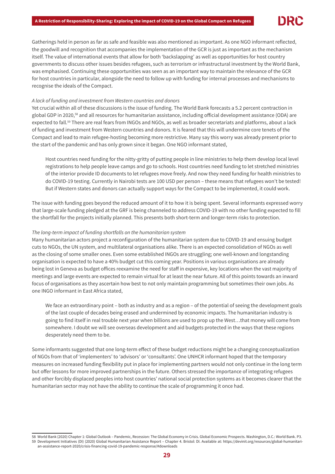Gatherings held in person as far as safe and feasible was also mentioned as important. As one NGO informant reflected, the goodwill and recognition that accompanies the implementation of the GCR is just as important as the mechanism itself. The value of international events that allow for both 'backslapping' as well as opportunities for host country governments to discuss other issues besides refugees, such as terrorism or infrastructural investment by the World Bank, was emphasised. Continuing these opportunities was seen as an important way to maintain the relevance of the GCR for host countries in particular, alongside the need to follow up with funding for internal processes and mechanisms to recognise the ideals of the Compact.

#### A lack of funding and investment from Western countries and donors

Yet crucial within all of these discussions is the issue of funding. The World Bank forecasts a 5.2 percent contraction in global GDP in 2020,<sup>58</sup> and all resources for humanitarian assistance, including official development assistance (ODA) are expected to fall.<sup>59</sup> There are real fears from INGOs and NGOs, as well as broader secretariats and platforms, about a lack of funding and investment from Western countries and donors. It is feared that this will undermine core tenets of the Compact and lead to main refugee-hosting becoming more restrictive. Many say this worry was already present prior to the start of the pandemic and has only grown since it began. One NGO informant stated,

Host countries need funding for the nitty-gritty of putting people in line ministries to help them develop local level registrations to help people leave camps and go to schools. Host countries need funding to let stretched ministries of the interior provide ID documents to let refugees move freely. And now they need funding for health ministries to do COVID-19 testing. Currently in Nairobi tests are 100 USD per person – these means that refugees won't be tested! But if Western states and donors can actually support ways for the Compact to be implemented, it could work.

The issue with funding goes beyond the reduced amount of it to how it is being spent. Several informants expressed worry that large-scale funding pledged at the GRF is being channeled to address COVID-19 with no other funding expected to fill the shortfall for the projects initially planned. This presents both short-term and longer-term risks to protection.

# The long-term impact of funding shortfalls on the humanitarian system

Many humanitarian actors project a reconfiguration of the humanitarian system due to COVID-19 and ensuing budget cuts to NGOs, the UN system, and multilateral organisations alike. There is an expected consolidation of NGOs as well as the closing of some smaller ones. Even some established INGOs are struggling; one well-known and longstanding organisation is expected to have a 40% budget cut this coming year. Positions in various organisations are already being lost in Geneva as budget offices reexamine the need for staff in expensive, key locations when the vast majority of meetings and large events are expected to remain virtual for at least the near future. All of this points towards an inward focus of organisations as they ascertain how best to not only maintain programming but sometimes their own jobs. As one INGO informant in East Africa stated,

We face an extraordinary point – both as industry and as a region – of the potential of seeing the development goals of the last couple of decades being erased and undermined by economic impacts. The humanitarian industry is going to find itself in real trouble next year when billions are used to prop up the West…that money will come from somewhere. I doubt we will see overseas development and aid budgets protected in the ways that these regions desperately need them to be.

Some informants suggested that one long-term effect of these budget reductions might be a changing conceptualization of NGOs from that of 'implementers' to 'advisors' or 'consultants'. One UNHCR informant hoped that the temporary measures on increased funding flexibility put in place for implementing partners would not only continue in the long term but offer lessons for more improved partnerships in the future. Others stressed the importance of integrating refugees and other forcibly displaced peoples into host countries' national social protection systems as it becomes clearer that the humanitarian sector may not have the ability to continue the scale of programming it once had.

<sup>58</sup> World Bank (2020) Chapter 1: Global Outlook – Pandemic, Recession: The Global Economy in Crisis. Global Economic Prospects. Washington, D.C.: World Bank. P3. 59 Development Initiatives (DI) (2020) Global Humanitarian Assistance Report – Chapter 4. Bristol: DI. Available at: https://devinit.org/resources/global-humanitarian-assistance-report-2020/crisis-financing-covid-19-pandemic-response/#downloads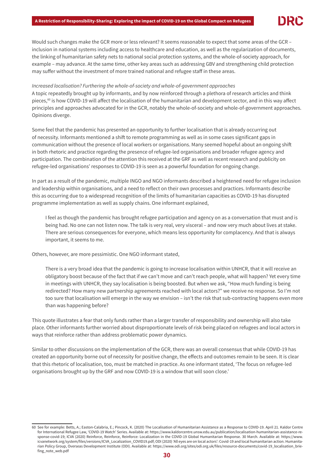Would such changes make the GCR more or less relevant? It seems reasonable to expect that some areas of the GCR – inclusion in national systems including access to healthcare and education, as well as the regularization of documents, the linking of humanitarian safety nets to national social protection systems, and the whole-of-society approach, for example – may advance. At the same time, other key areas such as addressing GBV and strengthening child protection may suffer without the investment of more trained national and refugee staff in these areas.

# Increased localisation? Furthering the whole-of-society and whole-of-government approaches

A topic repeatedly brought up by informants, and by now reinforced through a plethora of research articles and think pieces, $60$  is how COVID-19 will affect the localisation of the humanitarian and development sector, and in this way affect principles and approaches advocated for in the GCR, notably the whole-of-society and whole-of-government approaches. Opinions diverge.

Some feel that the pandemic has presented an opportunity to further localisation that is already occurring out of necessity. Informants mentioned a shift to remote programming as well as in some cases significant gaps in communication without the presence of local workers or organisations. Many seemed hopeful about an ongoing shift in both rhetoric and practice regarding the presence of refugee-led organisations and broader refugee agency and participation. The combination of the attention this received at the GRF as well as recent research and publicity on refugee-led organisations' responses to COVID-19 is seen as a powerful foundation for ongoing change.

In part as a result of the pandemic, multiple INGO and NGO informants described a heightened need for refugee inclusion and leadership within organisations, and a need to reflect on their own processes and practices. Informants describe this as occurring due to a widespread recognition of the limits of humanitarian capacities as COVID-19 has disrupted programme implementation as well as supply chains. One informant explained,

 I feel as though the pandemic has brought refugee participation and agency on as a conversation that must and is being had. No one can not listen now. The talk is very real, very visceral – and now very much about lives at stake. There are serious consequences for everyone, which means less opportunity for complacency. And that is always important, it seems to me.

Others, however, are more pessimistic. One NGO informant stated,

There is a very broad idea that the pandemic is going to increase localisation within UNHCR, that it will receive an obligatory boost because of the fact that if we can't move and can't reach people, what will happen? Yet every time in meetings with UNHCR, they say localisation is being boosted. But when we ask, "How much funding is being redirected? How many new partnership agreements reached with local actors?" we receive no response. So I'm not too sure that localisation will emerge in the way we envision – isn't the risk that sub-contracting happens even more than was happening before?

This quote illustrates a fear that only funds rather than a larger transfer of responsibility and ownership will also take place. Other informants further worried about disproportionate levels of risk being placed on refugees and local actors in ways that reinforce rather than address problematic power dynamics.

Similar to other discussions on the implementation of the GCR, there was an overall consensus that while COVID-19 has created an opportunity borne out of necessity for positive change, the effects and outcomes remain to be seen. It is clear that this rhetoric of localisation, too, must be matched in practice. As one informant stated, 'The focus on refugee-led organisations brought up by the GRF and now COVID-19 is a window that will soon close.'

<sup>60</sup> See for example: Betts, A.; Easton-Calabria, E.; Pincock, K. (2020) The Localisation of Humanitarian Assistance as a Response to COVID-19. April 21. Kaldor Centre for International Refugee Law, 'COVID-19 Watch' Series. Available at: https://www.kaldorcentre.unsw.edu.au/publication/localisation-humanitarian-assistance-response-covid-19; ICVA (2020) Reinforce, Reinforce, Reinforce: Localization in the COVID-19 Global Humanitarian Response. 30 March. Available at: https://www. icvanetwork.org/system/files/versions/ICVA\_Localization\_COVID19.pdf; ODI (2020) 'All eyes are on local actors': Covid-19 and local humanitarian action. Humanitarian Policy Group, Overseas Development Institute (ODI). Available at: https://www.odi.org/sites/odi.org.uk/files/resource-documents/covid-19\_localisation\_briefing\_note\_web.pdf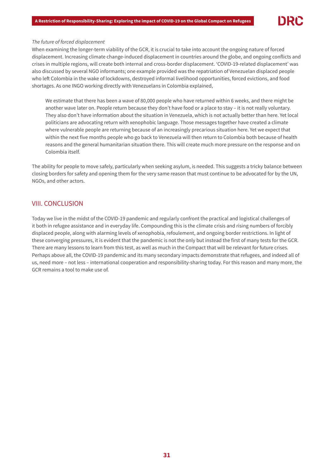#### The future of forced displacement

When examining the longer-term viability of the GCR, it is crucial to take into account the ongoing nature of forced displacement. Increasing climate change-induced displacement in countries around the globe, and ongoing conflicts and crises in multiple regions, will create both internal and cross-border displacement. 'COVID-19-related displacement' was also discussed by several NGO informants; one example provided was the repatriation of Venezuelan displaced people who left Colombia in the wake of lockdowns, destroyed informal livelihood opportunities, forced evictions, and food shortages. As one INGO working directly with Venezuelans in Colombia explained,

We estimate that there has been a wave of 80,000 people who have returned within 6 weeks, and there might be another wave later on. People return because they don't have food or a place to stay – it is not really voluntary. They also don't have information about the situation in Venezuela, which is not actually better than here. Yet local politicians are advocating return with xenophobic language. Those messages together have created a climate where vulnerable people are returning because of an increasingly precarious situation here. Yet we expect that within the next five months people who go back to Venezuela will then return to Colombia both because of health reasons and the general humanitarian situation there. This will create much more pressure on the response and on Colombia itself.

The ability for people to move safely, particularly when seeking asylum, is needed. This suggests a tricky balance between closing borders for safety and opening them for the very same reason that must continue to be advocated for by the UN, NGOs, and other actors.

# VIII. CONCLUSION

Today we live in the midst of the COVID-19 pandemic and regularly confront the practical and logistical challenges of it both in refugee assistance and in everyday life. Compounding this is the climate crisis and rising numbers of forcibly displaced people, along with alarming levels of xenophobia, refoulement, and ongoing border restrictions. In light of these converging pressures, it is evident that the pandemic is not the only but instead the first of many tests for the GCR. There are many lessons to learn from this test, as well as much in the Compact that will be relevant for future crises. Perhaps above all, the COVID-19 pandemic and its many secondary impacts demonstrate that refugees, and indeed all of us, need more – not less – international cooperation and responsibility-sharing today. For this reason and many more, the GCR remains a tool to make use of.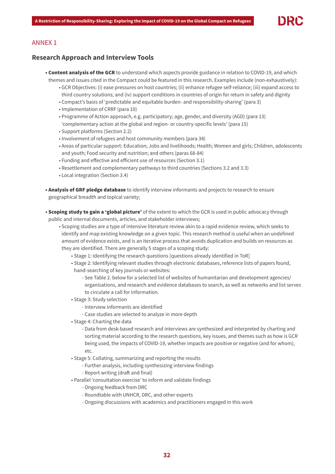# ANNEX 1

# **Research Approach and Interview Tools**

- Content analysis of the GCR to understand which aspects provide guidance in relation to COVID-19, and which themes and issues cited in the Compact could be featured in this research. Examples include (non-exhaustively):
	- GCR Objectives: (i) ease pressures on host countries; (ii) enhance refugee self-reliance; (iii) expand access to third country solutions; and (iv) support conditions in countries of origin for return in safety and dignity
	- Compact's basis of 'predictable and equitable burden- and responsibility-sharing' (para 3)
	- Implementation of CRRF (para 10)
	- Programme of Action approach, e.g. participatory; age, gender, and diversity (AGD) (para 13) 'complementary action at the global and region- or country-specific levels' (para 15)
	- Support platforms (Section 2.2)
	- Involvement of refugees and host community members (para 34)
	- Areas of particular support: Education; Jobs and livelihoods; Health; Women and girls; Children, adolescents and youth; Food security and nutrition; and others (paras 68-84)
	- Funding and effective and efficient use of resources (Section 3.1)
	- Resettlement and complementary pathways to third countries (Sections 3.2 and 3.3)
	- Local integration (Section 3.4)
- Analysis of GRF pledge database to identify interview informants and projects to research to ensure geographical breadth and topical variety;
- Scoping study to gain a 'global picture' of the extent to which the GCR is used in public advocacy through public and internal documents, articles, and stakeholder interviews;
	- Scoping studies are a type of intensive literature review akin to a rapid evidence review, which seeks to identify and map existing knowledge on a given topic. This research method is useful when an undefined amount of evidence exists, and is an iterative process that avoids duplication and builds on resources as they are identified. There are generally 5 stages of a scoping study:
		- Stage 1: Identifying the research questions [questions already identified in ToR]
		- Stage 2: Identifying relevant studies through electronic databases, reference lists of papers found, hand-searching of key journals or websites:
			- See Table 2. below for a selected list of websites of humanitarian and development agencies/ organisations, and research and evidence databases to search, as well as networks and list serves to circulate a call for information.
		- Stage 3: Study selection
			- Interview informants are identified
			- Case studies are selected to analyze in more depth
		- Stage 4: Charting the data
			- Data from desk-based research and interviews are synthesized and interpreted by charting and sorting material according to the research questions, key issues, and themes such as how is GCR being used, the impacts of COVID-19, whether impacts are positive or negative (and for whom), etc.
		- Stage 5: Collating, summarizing and reporting the results
			- Further analysis, including synthesizing interview findings
			- Report writing (draft and final)
		- Parallel 'consultation exercise' to inform and validate findings
			- Ongoing feedback from DRC
			- Roundtable with UNHCR, DRC, and other experts
			- Ongoing discussions with academics and practitioners engaged in this work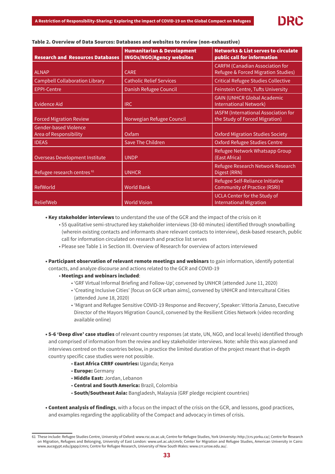| <b>Research and Resources Databases</b>                | <b>Humanitarian &amp; Development</b><br><b>INGOs/NGO/Agency websites</b> | <b>Networks &amp; List serves to circulate</b><br>public call for information |
|--------------------------------------------------------|---------------------------------------------------------------------------|-------------------------------------------------------------------------------|
| <b>ALNAP</b>                                           | <b>CARE</b>                                                               | <b>CARFM (Canadian Association for</b><br>Refugee & Forced Migration Studies) |
| <b>Campbell Collaboration Library</b>                  | <b>Catholic Relief Services</b>                                           | <b>Critical Refugee Studies Collective</b>                                    |
| EPPI-Centre                                            | Danish Refugee Council                                                    | Feinstein Centre, Tufts University                                            |
| Evidence Aid                                           | <b>IRC</b>                                                                | <b>GAIN (UNHCR Global Academic</b><br><b>International Network)</b>           |
| <b>Forced Migration Review</b>                         | Norwegian Refugee Council                                                 | IASFM (International Association for<br>the Study of Forced Migration)        |
| <b>Gender-based Violence</b><br>Area of Responsibility | Oxfam                                                                     | <b>Oxford Migration Studies Society</b>                                       |
| <b>IDEAS</b>                                           | <b>Save The Children</b>                                                  | <b>Oxford Refugee Studies Centre</b>                                          |
| Overseas Development Institute                         | <b>UNDP</b>                                                               | Refugee Network Whatsapp Group<br>(East Africa)                               |
| Refugee research centres 61                            | <b>UNHCR</b>                                                              | Refugee Research Network Research<br>Digest (RRN)                             |
| RefWorld                                               | <b>World Bank</b>                                                         | Refugee Self-Reliance Initiative<br><b>Community of Practice (RSRI)</b>       |
| ReliefWeb                                              | <b>World Vision</b>                                                       | <b>UCLA Center for the Study of</b><br><b>International Migration</b>         |

#### Table 2. Overview of Data Sources: Databases and websites to review (non-exhaustive)

• Key stakeholder interviews to understand the use of the GCR and the impact of the crisis on it

■ 55 qualitative semi-structured key stakeholder interviews (30-60 minutes) identified through snowballing (wherein existing contacts and informants share relevant contacts to interview), desk-based research, public call for information circulated on research and practice list serves

- Please see Table 1 in Section III. Overview of Research for overview of actors interviewed
- Participant observation of relevant remote meetings and webinars to gain information, identify potential contacts, and analyze discourse and actions related to the GCR and COVID-19
	- Meetings and webinars included:
		- 'GRF Virtual Informal Briefing and Follow-Up', convened by UNHCR (attended June 11, 2020)
		- 'Creating Inclusive Cities' [focus on GCR urban aims], convened by UNHCR and Intercultural Cities (attended June 18, 2020)
		- 'Migrant and Refugee Sensitive COVID-19 Response and Recovery', Speaker: Vittoria Zanuso, Executive Director of the Mayors Migration Council, convened by the Resilient Cities Network (video recording available online)

• 5-6 'Deep dive' case studies of relevant country responses (at state, UN, NGO, and local levels) identified through and comprised of information from the review and key stakeholder interviews. Note: while this was planned and interviews centred on the countries below, in practice the limited duration of the project meant that in-depth country specific case studies were not possible.

- East Africa CRRF countries: Uganda; Kenya
- Europe: Germany
- Middle East: Jordan, Lebanon
- Central and South America: Brazil, Colombia
- South/Southeast Asia: Bangladesh, Malaysia (GRF pledge recipient countries)
- Content analysis of findings, with a focus on the impact of the crisis on the GCR, and lessons, good practices, and examples regarding the applicability of the Compact and advocacy in times of crisis.

<sup>61</sup> These include: Refugee Studies Centre, University of Oxford: www.rsc.ox.ac.uk; Centre for Refugee Studies, York University: http://crs.yorku.ca/; Centre for Research on Migration, Refugees and Belonging, University of East London: www.uel.ac.uk/cmrb; Center for Migration and Refugee Studies, American University in Cairo: www.aucegypt.edu/gapp/cmrs; Centre for Refugee Research, University of New South Wales: www.crr.unsw.edu.au/.